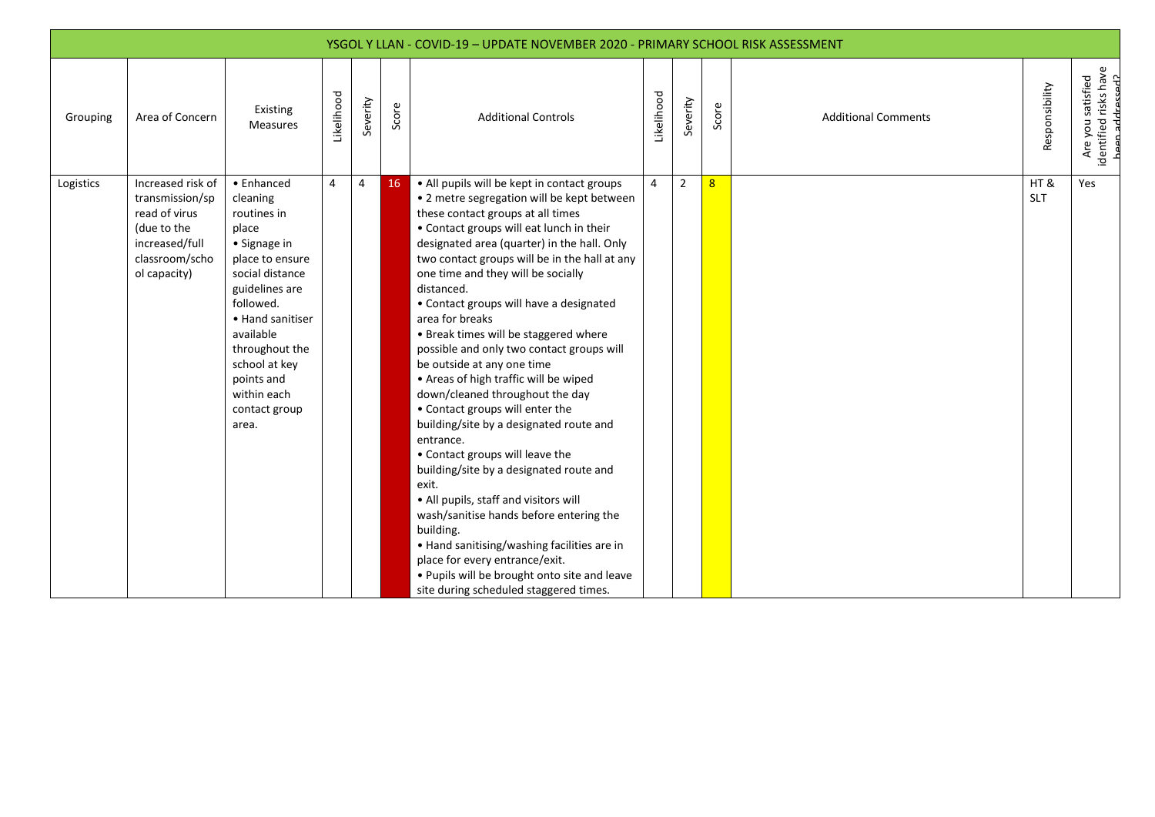|           |                                                                                                                          |                                                                                                                                                                                                                                                                |                   |                |       | YSGOL Y LLAN - COVID-19 - UPDATE NOVEMBER 2020 - PRIMARY SCHOOL RISK ASSESSMENT                                                                                                                                                                                                                                                                                                                                                                                                                                                                                                                                                                                                                                                                                                                                                                                                                                                                                                                                                                            |                   |                |                |                            |                   |                                                               |
|-----------|--------------------------------------------------------------------------------------------------------------------------|----------------------------------------------------------------------------------------------------------------------------------------------------------------------------------------------------------------------------------------------------------------|-------------------|----------------|-------|------------------------------------------------------------------------------------------------------------------------------------------------------------------------------------------------------------------------------------------------------------------------------------------------------------------------------------------------------------------------------------------------------------------------------------------------------------------------------------------------------------------------------------------------------------------------------------------------------------------------------------------------------------------------------------------------------------------------------------------------------------------------------------------------------------------------------------------------------------------------------------------------------------------------------------------------------------------------------------------------------------------------------------------------------------|-------------------|----------------|----------------|----------------------------|-------------------|---------------------------------------------------------------|
| Grouping  | Area of Concern                                                                                                          | Existing<br><b>Measures</b>                                                                                                                                                                                                                                    | <b>Likelihood</b> | Severity       | Score | <b>Additional Controls</b>                                                                                                                                                                                                                                                                                                                                                                                                                                                                                                                                                                                                                                                                                                                                                                                                                                                                                                                                                                                                                                 | <b>Likelihood</b> | Severity       | Score          | <b>Additional Comments</b> | Responsibility    | Are you satisfied<br>identified risks have<br>heen addressed? |
| Logistics | Increased risk of<br>transmission/sp<br>read of virus<br>(due to the<br>increased/full<br>classroom/scho<br>ol capacity) | • Enhanced<br>cleaning<br>routines in<br>place<br>• Signage in<br>place to ensure<br>social distance<br>guidelines are<br>followed.<br>• Hand sanitiser<br>available<br>throughout the<br>school at key<br>points and<br>within each<br>contact group<br>area. | 4                 | $\overline{4}$ | 16    | • All pupils will be kept in contact groups<br>• 2 metre segregation will be kept between<br>these contact groups at all times<br>• Contact groups will eat lunch in their<br>designated area (quarter) in the hall. Only<br>two contact groups will be in the hall at any<br>one time and they will be socially<br>distanced.<br>• Contact groups will have a designated<br>area for breaks<br>• Break times will be staggered where<br>possible and only two contact groups will<br>be outside at any one time<br>• Areas of high traffic will be wiped<br>down/cleaned throughout the day<br>• Contact groups will enter the<br>building/site by a designated route and<br>entrance.<br>• Contact groups will leave the<br>building/site by a designated route and<br>exit.<br>• All pupils, staff and visitors will<br>wash/sanitise hands before entering the<br>building.<br>• Hand sanitising/washing facilities are in<br>place for every entrance/exit.<br>. Pupils will be brought onto site and leave<br>site during scheduled staggered times. | $\overline{4}$    | $\overline{2}$ | 8 <sup>2</sup> |                            | HT&<br><b>SLT</b> | Yes                                                           |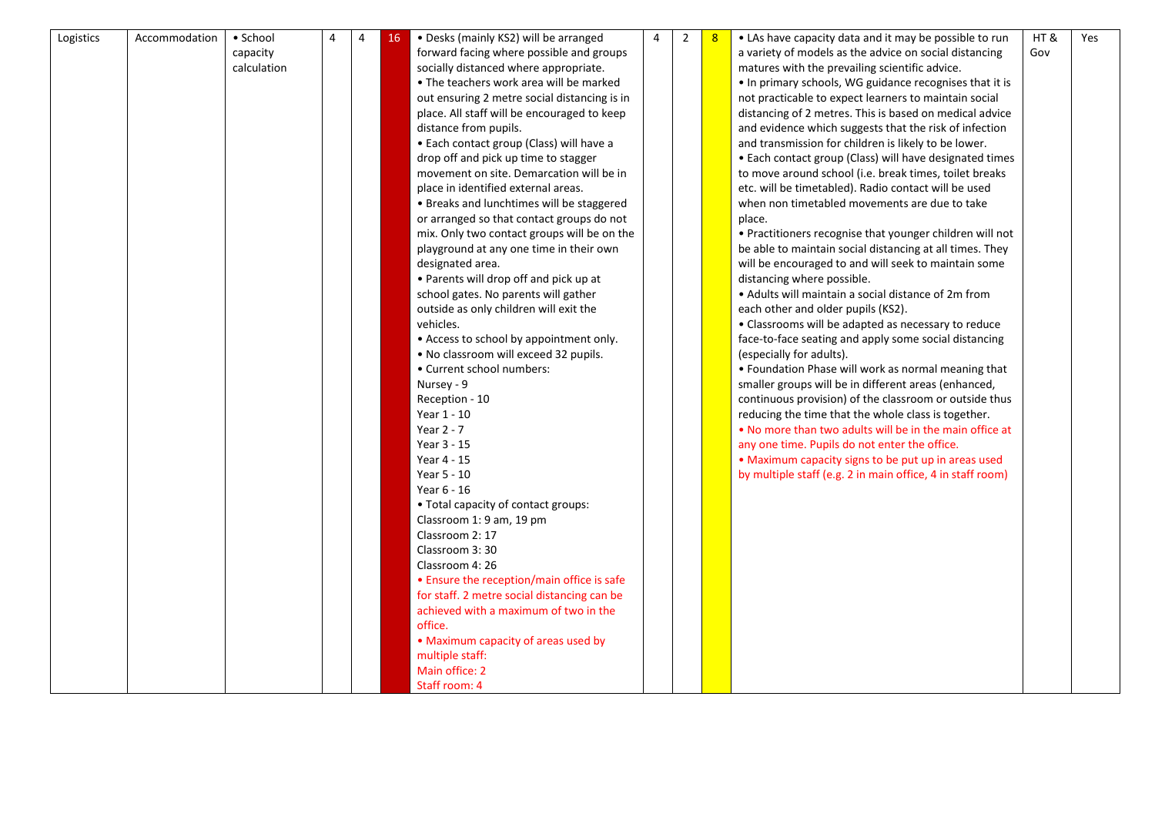| Logistics | Accommodation | • School    | $\overline{4}$ | 4 | 16 | • Desks (mainly KS2) will be arranged        | $\overline{4}$ | $\overline{2}$ | 8 | • LAs have capacity data and it may be possible to run     | HT& | Yes |
|-----------|---------------|-------------|----------------|---|----|----------------------------------------------|----------------|----------------|---|------------------------------------------------------------|-----|-----|
|           |               | capacity    |                |   |    | forward facing where possible and groups     |                |                |   | a variety of models as the advice on social distancing     | Gov |     |
|           |               | calculation |                |   |    | socially distanced where appropriate.        |                |                |   | matures with the prevailing scientific advice.             |     |     |
|           |               |             |                |   |    | • The teachers work area will be marked      |                |                |   | . In primary schools, WG guidance recognises that it is    |     |     |
|           |               |             |                |   |    | out ensuring 2 metre social distancing is in |                |                |   | not practicable to expect learners to maintain social      |     |     |
|           |               |             |                |   |    | place. All staff will be encouraged to keep  |                |                |   | distancing of 2 metres. This is based on medical advice    |     |     |
|           |               |             |                |   |    | distance from pupils.                        |                |                |   | and evidence which suggests that the risk of infection     |     |     |
|           |               |             |                |   |    | • Each contact group (Class) will have a     |                |                |   | and transmission for children is likely to be lower.       |     |     |
|           |               |             |                |   |    | drop off and pick up time to stagger         |                |                |   | • Each contact group (Class) will have designated times    |     |     |
|           |               |             |                |   |    | movement on site. Demarcation will be in     |                |                |   | to move around school (i.e. break times, toilet breaks     |     |     |
|           |               |             |                |   |    | place in identified external areas.          |                |                |   | etc. will be timetabled). Radio contact will be used       |     |     |
|           |               |             |                |   |    | • Breaks and lunchtimes will be staggered    |                |                |   | when non timetabled movements are due to take              |     |     |
|           |               |             |                |   |    | or arranged so that contact groups do not    |                |                |   | place.                                                     |     |     |
|           |               |             |                |   |    | mix. Only two contact groups will be on the  |                |                |   | • Practitioners recognise that younger children will not   |     |     |
|           |               |             |                |   |    | playground at any one time in their own      |                |                |   | be able to maintain social distancing at all times. They   |     |     |
|           |               |             |                |   |    | designated area.                             |                |                |   | will be encouraged to and will seek to maintain some       |     |     |
|           |               |             |                |   |    | • Parents will drop off and pick up at       |                |                |   | distancing where possible.                                 |     |     |
|           |               |             |                |   |    | school gates. No parents will gather         |                |                |   | • Adults will maintain a social distance of 2m from        |     |     |
|           |               |             |                |   |    | outside as only children will exit the       |                |                |   | each other and older pupils (KS2).                         |     |     |
|           |               |             |                |   |    | vehicles.                                    |                |                |   | • Classrooms will be adapted as necessary to reduce        |     |     |
|           |               |             |                |   |    | • Access to school by appointment only.      |                |                |   | face-to-face seating and apply some social distancing      |     |     |
|           |               |             |                |   |    | . No classroom will exceed 32 pupils.        |                |                |   | (especially for adults).                                   |     |     |
|           |               |             |                |   |    | • Current school numbers:                    |                |                |   | • Foundation Phase will work as normal meaning that        |     |     |
|           |               |             |                |   |    | Nursey - 9                                   |                |                |   | smaller groups will be in different areas (enhanced,       |     |     |
|           |               |             |                |   |    | Reception - 10                               |                |                |   | continuous provision) of the classroom or outside thus     |     |     |
|           |               |             |                |   |    | Year 1 - 10                                  |                |                |   | reducing the time that the whole class is together.        |     |     |
|           |               |             |                |   |    | Year $2 - 7$                                 |                |                |   | . No more than two adults will be in the main office at    |     |     |
|           |               |             |                |   |    | Year 3 - 15                                  |                |                |   | any one time. Pupils do not enter the office.              |     |     |
|           |               |             |                |   |    | Year 4 - 15                                  |                |                |   | • Maximum capacity signs to be put up in areas used        |     |     |
|           |               |             |                |   |    | Year 5 - 10                                  |                |                |   | by multiple staff (e.g. 2 in main office, 4 in staff room) |     |     |
|           |               |             |                |   |    | Year 6 - 16                                  |                |                |   |                                                            |     |     |
|           |               |             |                |   |    |                                              |                |                |   |                                                            |     |     |
|           |               |             |                |   |    | • Total capacity of contact groups:          |                |                |   |                                                            |     |     |
|           |               |             |                |   |    | Classroom 1: 9 am, 19 pm<br>Classroom 2: 17  |                |                |   |                                                            |     |     |
|           |               |             |                |   |    |                                              |                |                |   |                                                            |     |     |
|           |               |             |                |   |    | Classroom 3:30                               |                |                |   |                                                            |     |     |
|           |               |             |                |   |    | Classroom 4: 26                              |                |                |   |                                                            |     |     |
|           |               |             |                |   |    | • Ensure the reception/main office is safe   |                |                |   |                                                            |     |     |
|           |               |             |                |   |    | for staff. 2 metre social distancing can be  |                |                |   |                                                            |     |     |
|           |               |             |                |   |    | achieved with a maximum of two in the        |                |                |   |                                                            |     |     |
|           |               |             |                |   |    | office.                                      |                |                |   |                                                            |     |     |
|           |               |             |                |   |    | • Maximum capacity of areas used by          |                |                |   |                                                            |     |     |
|           |               |             |                |   |    | multiple staff:                              |                |                |   |                                                            |     |     |
|           |               |             |                |   |    | Main office: 2                               |                |                |   |                                                            |     |     |
|           |               |             |                |   |    | Staff room: 4                                |                |                |   |                                                            |     |     |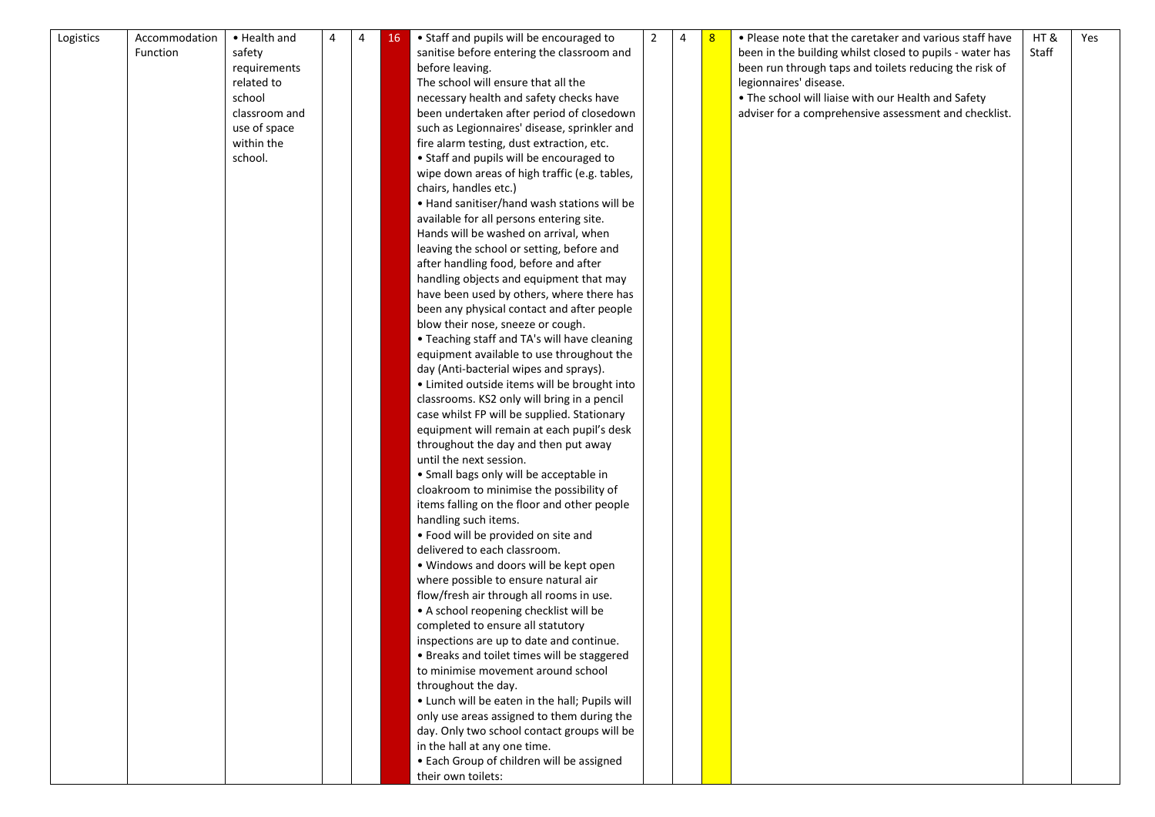| Logistics | Accommodation | • Health and  | 4 | 4 | 16 | • Staff and pupils will be encouraged to       | $\overline{2}$ | 4 | 8 | • Please note that the caretaker and various staff have  | HT&   | Yes |
|-----------|---------------|---------------|---|---|----|------------------------------------------------|----------------|---|---|----------------------------------------------------------|-------|-----|
|           | Function      | safety        |   |   |    | sanitise before entering the classroom and     |                |   |   | been in the building whilst closed to pupils - water has | Staff |     |
|           |               | requirements  |   |   |    | before leaving.                                |                |   |   | been run through taps and toilets reducing the risk of   |       |     |
|           |               | related to    |   |   |    | The school will ensure that all the            |                |   |   | legionnaires' disease.                                   |       |     |
|           |               | school        |   |   |    | necessary health and safety checks have        |                |   |   | . The school will liaise with our Health and Safety      |       |     |
|           |               | classroom and |   |   |    | been undertaken after period of closedown      |                |   |   | adviser for a comprehensive assessment and checklist.    |       |     |
|           |               | use of space  |   |   |    | such as Legionnaires' disease, sprinkler and   |                |   |   |                                                          |       |     |
|           |               | within the    |   |   |    | fire alarm testing, dust extraction, etc.      |                |   |   |                                                          |       |     |
|           |               | school.       |   |   |    | • Staff and pupils will be encouraged to       |                |   |   |                                                          |       |     |
|           |               |               |   |   |    | wipe down areas of high traffic (e.g. tables,  |                |   |   |                                                          |       |     |
|           |               |               |   |   |    | chairs, handles etc.)                          |                |   |   |                                                          |       |     |
|           |               |               |   |   |    | . Hand sanitiser/hand wash stations will be    |                |   |   |                                                          |       |     |
|           |               |               |   |   |    | available for all persons entering site.       |                |   |   |                                                          |       |     |
|           |               |               |   |   |    | Hands will be washed on arrival, when          |                |   |   |                                                          |       |     |
|           |               |               |   |   |    | leaving the school or setting, before and      |                |   |   |                                                          |       |     |
|           |               |               |   |   |    | after handling food, before and after          |                |   |   |                                                          |       |     |
|           |               |               |   |   |    | handling objects and equipment that may        |                |   |   |                                                          |       |     |
|           |               |               |   |   |    | have been used by others, where there has      |                |   |   |                                                          |       |     |
|           |               |               |   |   |    | been any physical contact and after people     |                |   |   |                                                          |       |     |
|           |               |               |   |   |    | blow their nose, sneeze or cough.              |                |   |   |                                                          |       |     |
|           |               |               |   |   |    | • Teaching staff and TA's will have cleaning   |                |   |   |                                                          |       |     |
|           |               |               |   |   |    | equipment available to use throughout the      |                |   |   |                                                          |       |     |
|           |               |               |   |   |    | day (Anti-bacterial wipes and sprays).         |                |   |   |                                                          |       |     |
|           |               |               |   |   |    | • Limited outside items will be brought into   |                |   |   |                                                          |       |     |
|           |               |               |   |   |    | classrooms. KS2 only will bring in a pencil    |                |   |   |                                                          |       |     |
|           |               |               |   |   |    | case whilst FP will be supplied. Stationary    |                |   |   |                                                          |       |     |
|           |               |               |   |   |    | equipment will remain at each pupil's desk     |                |   |   |                                                          |       |     |
|           |               |               |   |   |    | throughout the day and then put away           |                |   |   |                                                          |       |     |
|           |               |               |   |   |    | until the next session.                        |                |   |   |                                                          |       |     |
|           |               |               |   |   |    | • Small bags only will be acceptable in        |                |   |   |                                                          |       |     |
|           |               |               |   |   |    | cloakroom to minimise the possibility of       |                |   |   |                                                          |       |     |
|           |               |               |   |   |    | items falling on the floor and other people    |                |   |   |                                                          |       |     |
|           |               |               |   |   |    | handling such items.                           |                |   |   |                                                          |       |     |
|           |               |               |   |   |    | . Food will be provided on site and            |                |   |   |                                                          |       |     |
|           |               |               |   |   |    | delivered to each classroom.                   |                |   |   |                                                          |       |     |
|           |               |               |   |   |    | . Windows and doors will be kept open          |                |   |   |                                                          |       |     |
|           |               |               |   |   |    | where possible to ensure natural air           |                |   |   |                                                          |       |     |
|           |               |               |   |   |    | flow/fresh air through all rooms in use.       |                |   |   |                                                          |       |     |
|           |               |               |   |   |    | • A school reopening checklist will be         |                |   |   |                                                          |       |     |
|           |               |               |   |   |    | completed to ensure all statutory              |                |   |   |                                                          |       |     |
|           |               |               |   |   |    | inspections are up to date and continue.       |                |   |   |                                                          |       |     |
|           |               |               |   |   |    | • Breaks and toilet times will be staggered    |                |   |   |                                                          |       |     |
|           |               |               |   |   |    | to minimise movement around school             |                |   |   |                                                          |       |     |
|           |               |               |   |   |    | throughout the day.                            |                |   |   |                                                          |       |     |
|           |               |               |   |   |    | . Lunch will be eaten in the hall; Pupils will |                |   |   |                                                          |       |     |
|           |               |               |   |   |    | only use areas assigned to them during the     |                |   |   |                                                          |       |     |
|           |               |               |   |   |    | day. Only two school contact groups will be    |                |   |   |                                                          |       |     |
|           |               |               |   |   |    | in the hall at any one time.                   |                |   |   |                                                          |       |     |
|           |               |               |   |   |    | • Each Group of children will be assigned      |                |   |   |                                                          |       |     |
|           |               |               |   |   |    | their own toilets:                             |                |   |   |                                                          |       |     |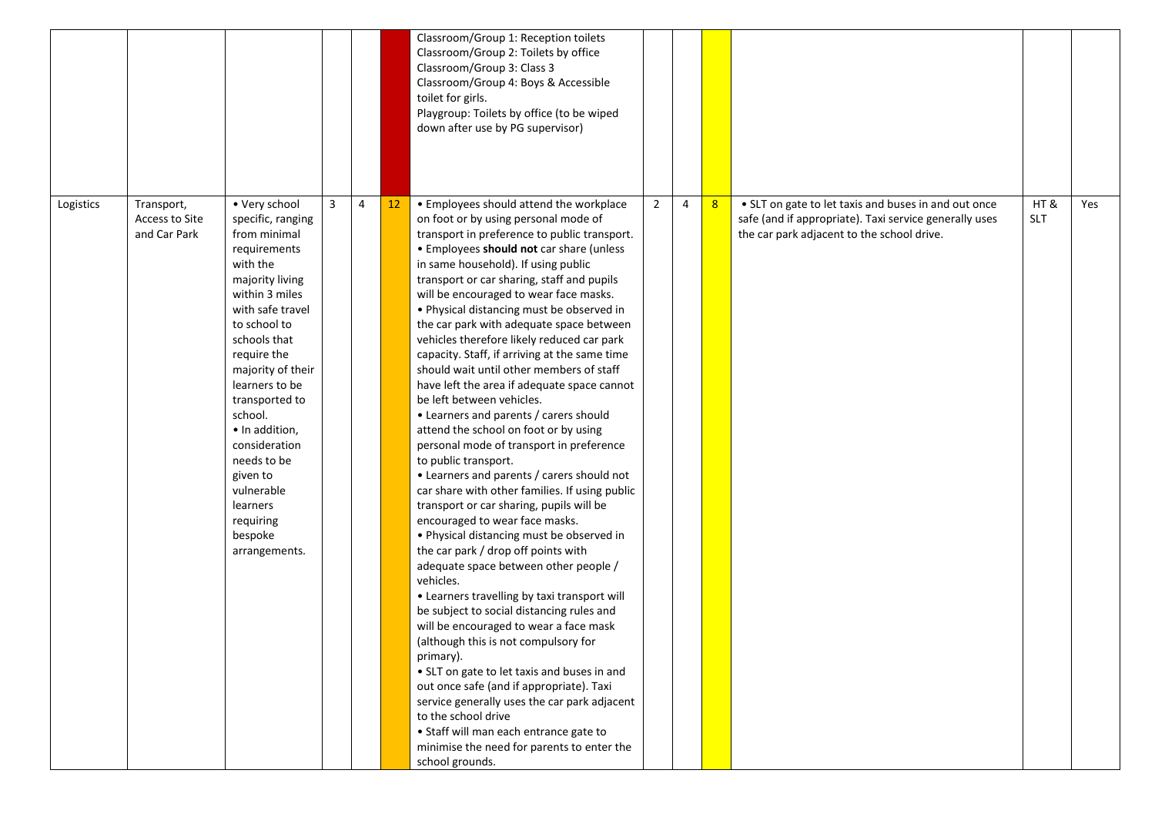|           |                                              |                                                                                                                                                                                                                                                                                                                                                                                             |                |                |    | Classroom/Group 1: Reception toilets<br>Classroom/Group 2: Toilets by office<br>Classroom/Group 3: Class 3<br>Classroom/Group 4: Boys & Accessible<br>toilet for girls.<br>Playgroup: Toilets by office (to be wiped<br>down after use by PG supervisor)                                                                                                                                                                                                                                                                                                                                                                                                                                                                                                                                                                                                                                                                                                                                                                                                                                                                                                                                                                                                                                                                                                                                                                                                                                                                                                                           |                |   |   |                                                                                                                                                              |                   |     |
|-----------|----------------------------------------------|---------------------------------------------------------------------------------------------------------------------------------------------------------------------------------------------------------------------------------------------------------------------------------------------------------------------------------------------------------------------------------------------|----------------|----------------|----|------------------------------------------------------------------------------------------------------------------------------------------------------------------------------------------------------------------------------------------------------------------------------------------------------------------------------------------------------------------------------------------------------------------------------------------------------------------------------------------------------------------------------------------------------------------------------------------------------------------------------------------------------------------------------------------------------------------------------------------------------------------------------------------------------------------------------------------------------------------------------------------------------------------------------------------------------------------------------------------------------------------------------------------------------------------------------------------------------------------------------------------------------------------------------------------------------------------------------------------------------------------------------------------------------------------------------------------------------------------------------------------------------------------------------------------------------------------------------------------------------------------------------------------------------------------------------------|----------------|---|---|--------------------------------------------------------------------------------------------------------------------------------------------------------------|-------------------|-----|
| Logistics | Transport,<br>Access to Site<br>and Car Park | • Very school<br>specific, ranging<br>from minimal<br>requirements<br>with the<br>majority living<br>within 3 miles<br>with safe travel<br>to school to<br>schools that<br>require the<br>majority of their<br>learners to be<br>transported to<br>school.<br>· In addition,<br>consideration<br>needs to be<br>given to<br>vulnerable<br>learners<br>requiring<br>bespoke<br>arrangements. | $\overline{3}$ | $\overline{4}$ | 12 | • Employees should attend the workplace<br>on foot or by using personal mode of<br>transport in preference to public transport.<br>• Employees should not car share (unless<br>in same household). If using public<br>transport or car sharing, staff and pupils<br>will be encouraged to wear face masks.<br>• Physical distancing must be observed in<br>the car park with adequate space between<br>vehicles therefore likely reduced car park<br>capacity. Staff, if arriving at the same time<br>should wait until other members of staff<br>have left the area if adequate space cannot<br>be left between vehicles.<br>• Learners and parents / carers should<br>attend the school on foot or by using<br>personal mode of transport in preference<br>to public transport.<br>• Learners and parents / carers should not<br>car share with other families. If using public<br>transport or car sharing, pupils will be<br>encouraged to wear face masks.<br>• Physical distancing must be observed in<br>the car park / drop off points with<br>adequate space between other people /<br>vehicles.<br>• Learners travelling by taxi transport will<br>be subject to social distancing rules and<br>will be encouraged to wear a face mask<br>(although this is not compulsory for<br>primary).<br>• SLT on gate to let taxis and buses in and<br>out once safe (and if appropriate). Taxi<br>service generally uses the car park adjacent<br>to the school drive<br>· Staff will man each entrance gate to<br>minimise the need for parents to enter the<br>school grounds. | $\overline{2}$ | 4 | 8 | • SLT on gate to let taxis and buses in and out once<br>safe (and if appropriate). Taxi service generally uses<br>the car park adjacent to the school drive. | HT&<br><b>SLT</b> | Yes |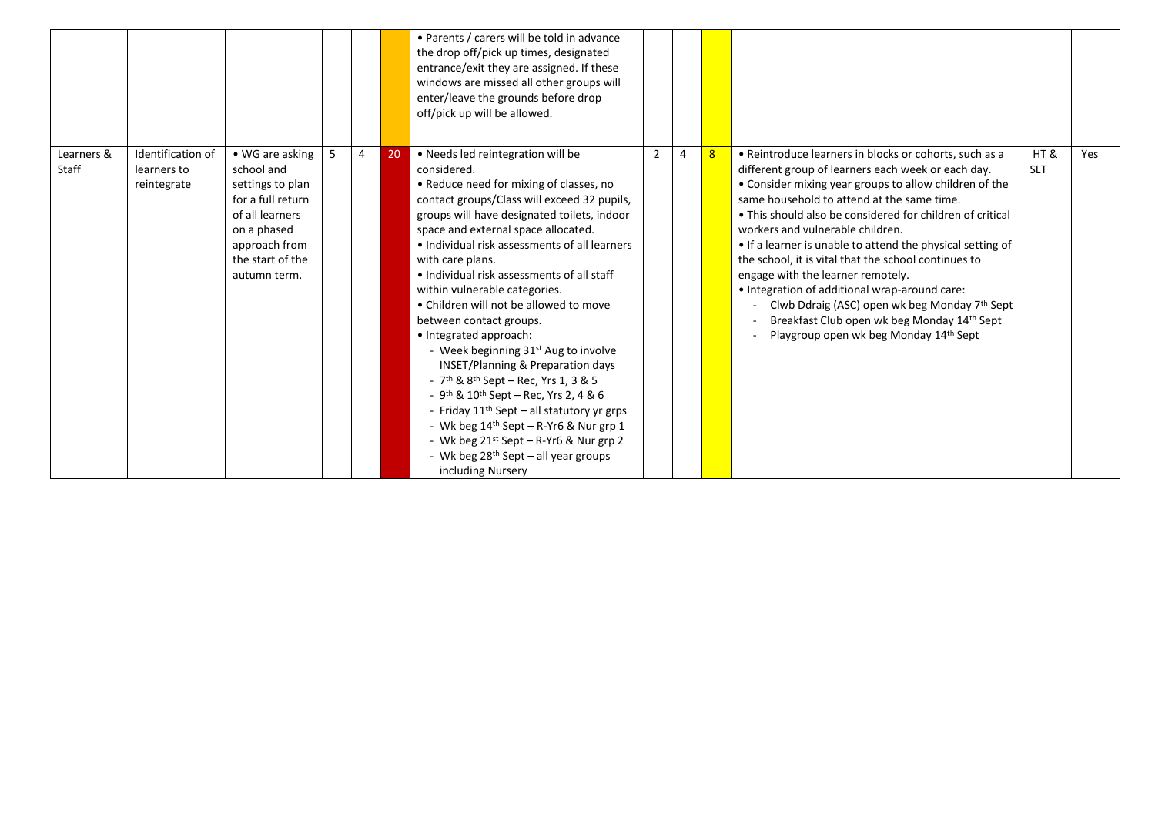|                     |                                                 |                                                                                                                                                               |   |    | • Parents / carers will be told in advance<br>the drop off/pick up times, designated<br>entrance/exit they are assigned. If these<br>windows are missed all other groups will<br>enter/leave the grounds before drop<br>off/pick up will be allowed.                                                                                                                                                                                                                                                                                                                                                                                                                                                                                                                                                                                                    |                |                |   |                                                                                                                                                                                                                                                                                                                                                                                                                                                                                                                                                                                                                                                                             |                   |     |
|---------------------|-------------------------------------------------|---------------------------------------------------------------------------------------------------------------------------------------------------------------|---|----|---------------------------------------------------------------------------------------------------------------------------------------------------------------------------------------------------------------------------------------------------------------------------------------------------------------------------------------------------------------------------------------------------------------------------------------------------------------------------------------------------------------------------------------------------------------------------------------------------------------------------------------------------------------------------------------------------------------------------------------------------------------------------------------------------------------------------------------------------------|----------------|----------------|---|-----------------------------------------------------------------------------------------------------------------------------------------------------------------------------------------------------------------------------------------------------------------------------------------------------------------------------------------------------------------------------------------------------------------------------------------------------------------------------------------------------------------------------------------------------------------------------------------------------------------------------------------------------------------------------|-------------------|-----|
| Learners &<br>Staff | Identification of<br>learners to<br>reintegrate | • WG are asking<br>school and<br>settings to plan<br>for a full return<br>of all learners<br>on a phased<br>approach from<br>the start of the<br>autumn term. | 4 | 20 | • Needs led reintegration will be<br>considered.<br>• Reduce need for mixing of classes, no<br>contact groups/Class will exceed 32 pupils,<br>groups will have designated toilets, indoor<br>space and external space allocated.<br>. Individual risk assessments of all learners<br>with care plans.<br>. Individual risk assessments of all staff<br>within vulnerable categories.<br>• Children will not be allowed to move<br>between contact groups.<br>• Integrated approach:<br>- Week beginning 31st Aug to involve<br><b>INSET/Planning &amp; Preparation days</b><br>- $7th$ & $8th$ Sept – Rec, Yrs 1, 3 & 5<br>- 9 <sup>th</sup> & 10 <sup>th</sup> Sept - Rec, Yrs 2, 4 & 6<br>- Friday 11 <sup>th</sup> Sept - all statutory yr grps<br>- Wk beg 14 <sup>th</sup> Sept - R-Yr6 & Nur grp 1<br>- Wk beg $21^{st}$ Sept – R-Yr6 & Nur grp 2 | $\overline{2}$ | $\overline{4}$ | 8 | • Reintroduce learners in blocks or cohorts, such as a<br>different group of learners each week or each day.<br>• Consider mixing year groups to allow children of the<br>same household to attend at the same time.<br>• This should also be considered for children of critical<br>workers and vulnerable children.<br>• If a learner is unable to attend the physical setting of<br>the school, it is vital that the school continues to<br>engage with the learner remotely.<br>• Integration of additional wrap-around care:<br>Clwb Ddraig (ASC) open wk beg Monday 7th Sept<br>Breakfast Club open wk beg Monday 14th Sept<br>Playgroup open wk beg Monday 14th Sept | HT&<br><b>SLT</b> | Yes |
|                     |                                                 |                                                                                                                                                               |   |    | - Wk beg 28 <sup>th</sup> Sept - all year groups<br>including Nursery                                                                                                                                                                                                                                                                                                                                                                                                                                                                                                                                                                                                                                                                                                                                                                                   |                |                |   |                                                                                                                                                                                                                                                                                                                                                                                                                                                                                                                                                                                                                                                                             |                   |     |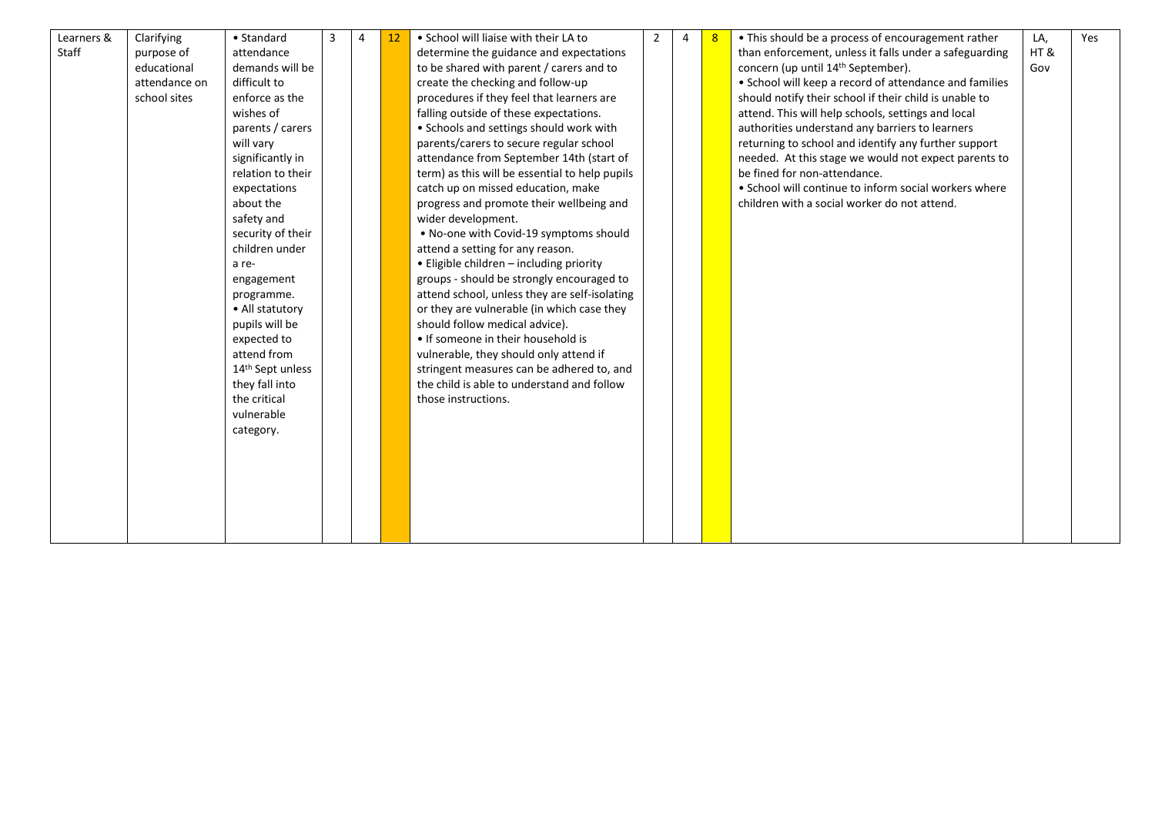| Learners & | Clarifying    | • Standard                   | 4 | 12 | • School will liaise with their LA to          | $\overline{2}$ | $\overline{4}$ | 8 | • This should be a process of encouragement rather     | LA, | Yes |
|------------|---------------|------------------------------|---|----|------------------------------------------------|----------------|----------------|---|--------------------------------------------------------|-----|-----|
| Staff      | purpose of    | attendance                   |   |    | determine the guidance and expectations        |                |                |   | than enforcement, unless it falls under a safeguarding | HT& |     |
|            | educational   | demands will be              |   |    | to be shared with parent / carers and to       |                |                |   | concern (up until 14 <sup>th</sup> September).         | Gov |     |
|            | attendance on | difficult to                 |   |    | create the checking and follow-up              |                |                |   | • School will keep a record of attendance and families |     |     |
|            | school sites  | enforce as the               |   |    | procedures if they feel that learners are      |                |                |   | should notify their school if their child is unable to |     |     |
|            |               | wishes of                    |   |    | falling outside of these expectations.         |                |                |   | attend. This will help schools, settings and local     |     |     |
|            |               | parents / carers             |   |    | • Schools and settings should work with        |                |                |   | authorities understand any barriers to learners        |     |     |
|            |               | will vary                    |   |    | parents/carers to secure regular school        |                |                |   | returning to school and identify any further support   |     |     |
|            |               | significantly in             |   |    | attendance from September 14th (start of       |                |                |   | needed. At this stage we would not expect parents to   |     |     |
|            |               | relation to their            |   |    | term) as this will be essential to help pupils |                |                |   | be fined for non-attendance.                           |     |     |
|            |               | expectations                 |   |    | catch up on missed education, make             |                |                |   | • School will continue to inform social workers where  |     |     |
|            |               | about the                    |   |    | progress and promote their wellbeing and       |                |                |   | children with a social worker do not attend.           |     |     |
|            |               | safety and                   |   |    | wider development.                             |                |                |   |                                                        |     |     |
|            |               | security of their            |   |    | . No-one with Covid-19 symptoms should         |                |                |   |                                                        |     |     |
|            |               | children under               |   |    | attend a setting for any reason.               |                |                |   |                                                        |     |     |
|            |               | a re-                        |   |    | • Eligible children - including priority       |                |                |   |                                                        |     |     |
|            |               | engagement                   |   |    | groups - should be strongly encouraged to      |                |                |   |                                                        |     |     |
|            |               | programme.                   |   |    | attend school, unless they are self-isolating  |                |                |   |                                                        |     |     |
|            |               | • All statutory              |   |    | or they are vulnerable (in which case they     |                |                |   |                                                        |     |     |
|            |               | pupils will be               |   |    | should follow medical advice).                 |                |                |   |                                                        |     |     |
|            |               | expected to                  |   |    | • If someone in their household is             |                |                |   |                                                        |     |     |
|            |               | attend from                  |   |    | vulnerable, they should only attend if         |                |                |   |                                                        |     |     |
|            |               | 14 <sup>th</sup> Sept unless |   |    | stringent measures can be adhered to, and      |                |                |   |                                                        |     |     |
|            |               | they fall into               |   |    | the child is able to understand and follow     |                |                |   |                                                        |     |     |
|            |               | the critical                 |   |    | those instructions.                            |                |                |   |                                                        |     |     |
|            |               | vulnerable                   |   |    |                                                |                |                |   |                                                        |     |     |
|            |               | category.                    |   |    |                                                |                |                |   |                                                        |     |     |
|            |               |                              |   |    |                                                |                |                |   |                                                        |     |     |
|            |               |                              |   |    |                                                |                |                |   |                                                        |     |     |
|            |               |                              |   |    |                                                |                |                |   |                                                        |     |     |
|            |               |                              |   |    |                                                |                |                |   |                                                        |     |     |
|            |               |                              |   |    |                                                |                |                |   |                                                        |     |     |
|            |               |                              |   |    |                                                |                |                |   |                                                        |     |     |
|            |               |                              |   |    |                                                |                |                |   |                                                        |     |     |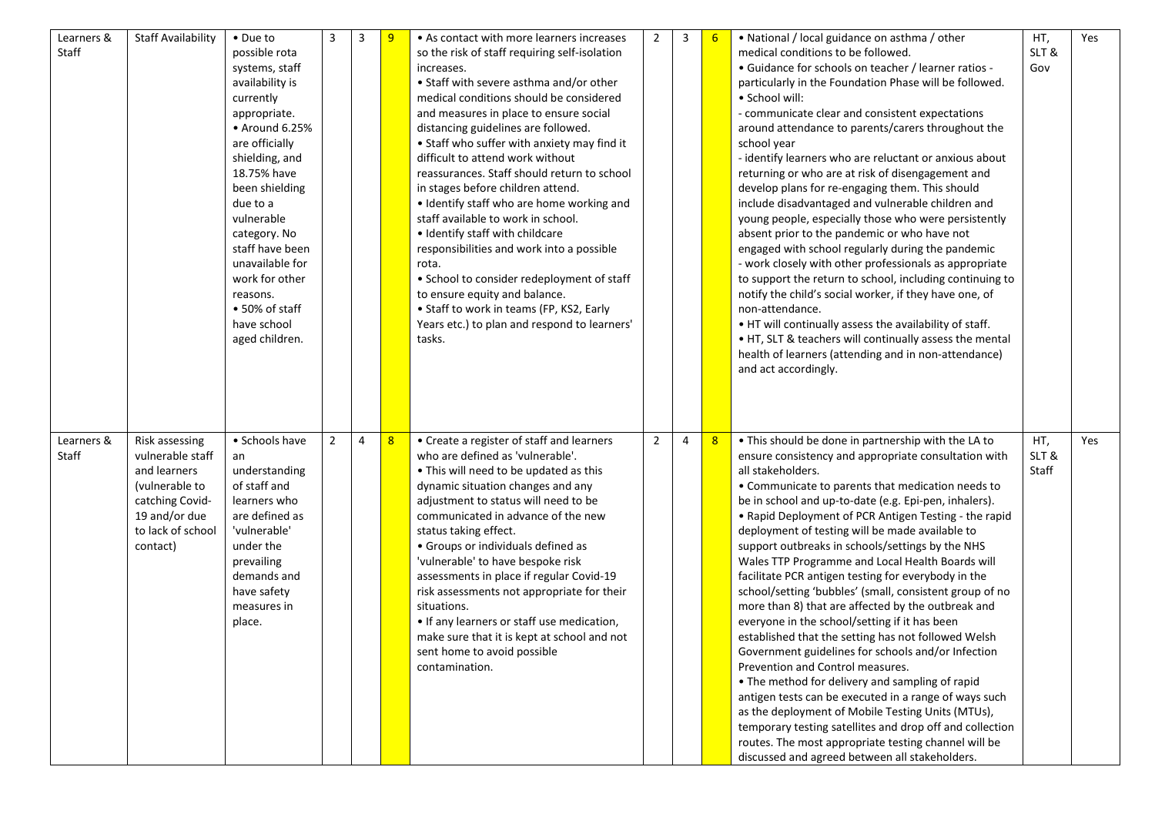| Learners &<br>Staff | <b>Staff Availability</b>                                                                                                                 | • Due to<br>possible rota<br>systems, staff<br>availability is<br>currently<br>appropriate.<br>• Around 6.25%<br>are officially<br>shielding, and<br>18.75% have<br>been shielding<br>due to a<br>vulnerable<br>category. No<br>staff have been<br>unavailable for<br>work for other<br>reasons.<br>• 50% of staff<br>have school<br>aged children. | 3              | 3 | 9 | • As contact with more learners increases<br>so the risk of staff requiring self-isolation<br>increases.<br>• Staff with severe asthma and/or other<br>medical conditions should be considered<br>and measures in place to ensure social<br>distancing guidelines are followed.<br>• Staff who suffer with anxiety may find it<br>difficult to attend work without<br>reassurances. Staff should return to school<br>in stages before children attend.<br>• Identify staff who are home working and<br>staff available to work in school.<br>• Identify staff with childcare<br>responsibilities and work into a possible<br>rota.<br>• School to consider redeployment of staff<br>to ensure equity and balance.<br>• Staff to work in teams (FP, KS2, Early<br>Years etc.) to plan and respond to learners'<br>tasks. | $\overline{2}$ | 3 | 6 | • National / local guidance on asthma / other<br>medical conditions to be followed.<br>• Guidance for schools on teacher / learner ratios -<br>particularly in the Foundation Phase will be followed.<br>• School will:<br>- communicate clear and consistent expectations<br>around attendance to parents/carers throughout the<br>school year<br>- identify learners who are reluctant or anxious about<br>returning or who are at risk of disengagement and<br>develop plans for re-engaging them. This should<br>include disadvantaged and vulnerable children and<br>young people, especially those who were persistently<br>absent prior to the pandemic or who have not<br>engaged with school regularly during the pandemic<br>- work closely with other professionals as appropriate<br>to support the return to school, including continuing to<br>notify the child's social worker, if they have one, of<br>non-attendance.<br>. HT will continually assess the availability of staff.<br>• HT, SLT & teachers will continually assess the mental<br>health of learners (attending and in non-attendance)<br>and act accordingly.                                        | HT,<br>SLT&<br>Gov   | Yes |
|---------------------|-------------------------------------------------------------------------------------------------------------------------------------------|-----------------------------------------------------------------------------------------------------------------------------------------------------------------------------------------------------------------------------------------------------------------------------------------------------------------------------------------------------|----------------|---|---|-------------------------------------------------------------------------------------------------------------------------------------------------------------------------------------------------------------------------------------------------------------------------------------------------------------------------------------------------------------------------------------------------------------------------------------------------------------------------------------------------------------------------------------------------------------------------------------------------------------------------------------------------------------------------------------------------------------------------------------------------------------------------------------------------------------------------|----------------|---|---|-------------------------------------------------------------------------------------------------------------------------------------------------------------------------------------------------------------------------------------------------------------------------------------------------------------------------------------------------------------------------------------------------------------------------------------------------------------------------------------------------------------------------------------------------------------------------------------------------------------------------------------------------------------------------------------------------------------------------------------------------------------------------------------------------------------------------------------------------------------------------------------------------------------------------------------------------------------------------------------------------------------------------------------------------------------------------------------------------------------------------------------------------------------------------------------|----------------------|-----|
| Learners &<br>Staff | Risk assessing<br>vulnerable staff<br>and learners<br>(vulnerable to<br>catching Covid-<br>19 and/or due<br>to lack of school<br>contact) | • Schools have<br>an<br>understanding<br>of staff and<br>learners who<br>are defined as<br>'vulnerable'<br>under the<br>prevailing<br>demands and<br>have safety<br>measures in<br>place.                                                                                                                                                           | $\overline{2}$ | 4 | 8 | • Create a register of staff and learners<br>who are defined as 'vulnerable'.<br>• This will need to be updated as this<br>dynamic situation changes and any<br>adjustment to status will need to be<br>communicated in advance of the new<br>status taking effect.<br>• Groups or individuals defined as<br>'vulnerable' to have bespoke risk<br>assessments in place if regular Covid-19<br>risk assessments not appropriate for their<br>situations.<br>• If any learners or staff use medication,<br>make sure that it is kept at school and not<br>sent home to avoid possible<br>contamination.                                                                                                                                                                                                                   | $\overline{2}$ | 4 | 8 | . This should be done in partnership with the LA to<br>ensure consistency and appropriate consultation with<br>all stakeholders.<br>• Communicate to parents that medication needs to<br>be in school and up-to-date (e.g. Epi-pen, inhalers).<br>• Rapid Deployment of PCR Antigen Testing - the rapid<br>deployment of testing will be made available to<br>support outbreaks in schools/settings by the NHS<br>Wales TTP Programme and Local Health Boards will<br>facilitate PCR antigen testing for everybody in the<br>school/setting 'bubbles' (small, consistent group of no<br>more than 8) that are affected by the outbreak and<br>everyone in the school/setting if it has been<br>established that the setting has not followed Welsh<br>Government guidelines for schools and/or Infection<br>Prevention and Control measures.<br>• The method for delivery and sampling of rapid<br>antigen tests can be executed in a range of ways such<br>as the deployment of Mobile Testing Units (MTUs),<br>temporary testing satellites and drop off and collection<br>routes. The most appropriate testing channel will be<br>discussed and agreed between all stakeholders. | HT,<br>SLT&<br>Staff | Yes |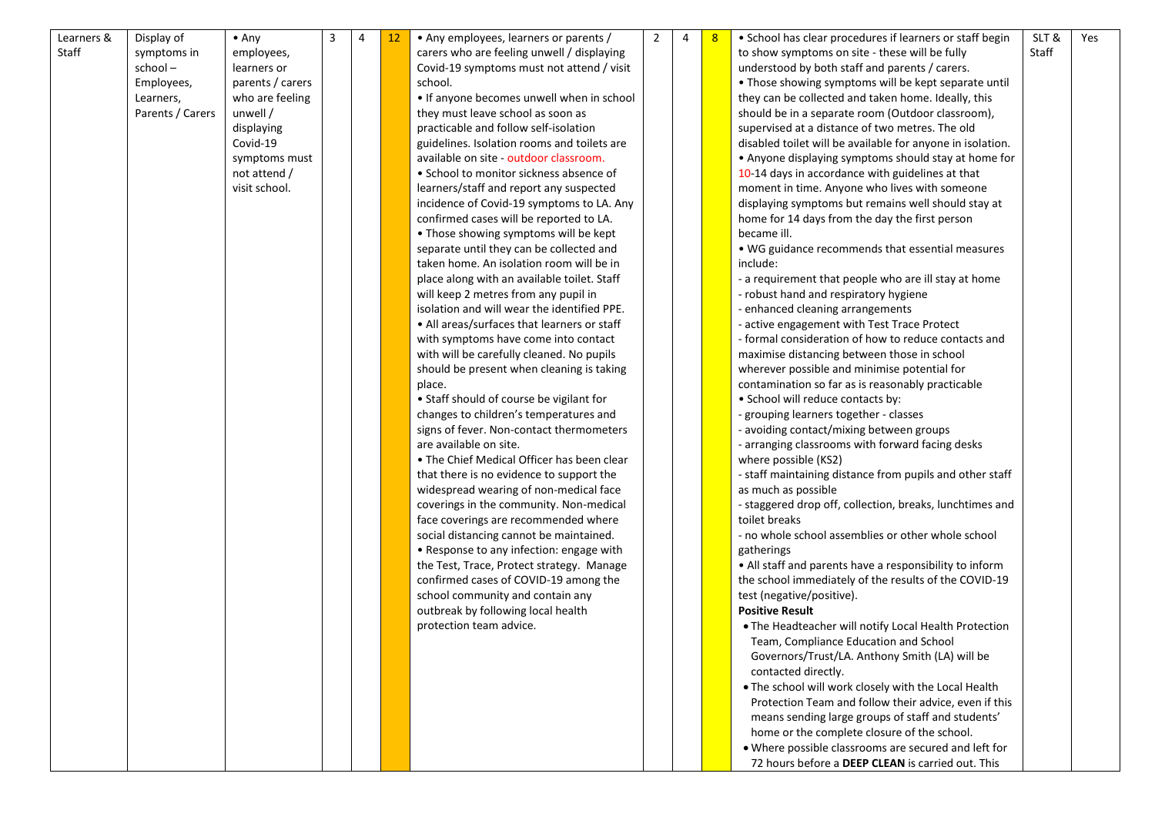| Staff<br>Staff<br>carers who are feeling unwell / displaying<br>to show symptoms on site - these will be fully<br>symptoms in<br>employees,<br>school-<br>learners or<br>Covid-19 symptoms must not attend / visit<br>understood by both staff and parents / carers.<br>parents / carers<br>• Those showing symptoms will be kept separate until<br>Employees,<br>school.<br>who are feeling<br>• If anyone becomes unwell when in school<br>Learners,<br>they can be collected and taken home. Ideally, this<br>Parents / Carers<br>unwell /<br>they must leave school as soon as<br>should be in a separate room (Outdoor classroom),<br>practicable and follow self-isolation<br>supervised at a distance of two metres. The old<br>displaying<br>Covid-19<br>guidelines. Isolation rooms and toilets are<br>disabled toilet will be available for anyone in isolation.<br>available on site - outdoor classroom.<br>• Anyone displaying symptoms should stay at home for<br>symptoms must<br>• School to monitor sickness absence of<br>not attend /<br>10-14 days in accordance with guidelines at that<br>visit school.<br>learners/staff and report any suspected<br>moment in time. Anyone who lives with someone<br>incidence of Covid-19 symptoms to LA. Any<br>displaying symptoms but remains well should stay at<br>confirmed cases will be reported to LA.<br>home for 14 days from the day the first person<br>• Those showing symptoms will be kept<br>became ill.<br>separate until they can be collected and<br>• WG guidance recommends that essential measures<br>taken home. An isolation room will be in<br>include:<br>place along with an available toilet. Staff<br>- a requirement that people who are ill stay at home<br>will keep 2 metres from any pupil in<br>- robust hand and respiratory hygiene | Learners &<br>Display of | 3<br>$\bullet$ Any | 4 | 12 | • Any employees, learners or parents /      | $\overline{2}$ | 4 | • School has clear procedures if learners or staff begin | SLT & | Yes |
|------------------------------------------------------------------------------------------------------------------------------------------------------------------------------------------------------------------------------------------------------------------------------------------------------------------------------------------------------------------------------------------------------------------------------------------------------------------------------------------------------------------------------------------------------------------------------------------------------------------------------------------------------------------------------------------------------------------------------------------------------------------------------------------------------------------------------------------------------------------------------------------------------------------------------------------------------------------------------------------------------------------------------------------------------------------------------------------------------------------------------------------------------------------------------------------------------------------------------------------------------------------------------------------------------------------------------------------------------------------------------------------------------------------------------------------------------------------------------------------------------------------------------------------------------------------------------------------------------------------------------------------------------------------------------------------------------------------------------------------------------------------------------------------------------------------------------------|--------------------------|--------------------|---|----|---------------------------------------------|----------------|---|----------------------------------------------------------|-------|-----|
|                                                                                                                                                                                                                                                                                                                                                                                                                                                                                                                                                                                                                                                                                                                                                                                                                                                                                                                                                                                                                                                                                                                                                                                                                                                                                                                                                                                                                                                                                                                                                                                                                                                                                                                                                                                                                                    |                          |                    |   |    |                                             |                |   |                                                          |       |     |
|                                                                                                                                                                                                                                                                                                                                                                                                                                                                                                                                                                                                                                                                                                                                                                                                                                                                                                                                                                                                                                                                                                                                                                                                                                                                                                                                                                                                                                                                                                                                                                                                                                                                                                                                                                                                                                    |                          |                    |   |    |                                             |                |   |                                                          |       |     |
|                                                                                                                                                                                                                                                                                                                                                                                                                                                                                                                                                                                                                                                                                                                                                                                                                                                                                                                                                                                                                                                                                                                                                                                                                                                                                                                                                                                                                                                                                                                                                                                                                                                                                                                                                                                                                                    |                          |                    |   |    |                                             |                |   |                                                          |       |     |
|                                                                                                                                                                                                                                                                                                                                                                                                                                                                                                                                                                                                                                                                                                                                                                                                                                                                                                                                                                                                                                                                                                                                                                                                                                                                                                                                                                                                                                                                                                                                                                                                                                                                                                                                                                                                                                    |                          |                    |   |    |                                             |                |   |                                                          |       |     |
|                                                                                                                                                                                                                                                                                                                                                                                                                                                                                                                                                                                                                                                                                                                                                                                                                                                                                                                                                                                                                                                                                                                                                                                                                                                                                                                                                                                                                                                                                                                                                                                                                                                                                                                                                                                                                                    |                          |                    |   |    |                                             |                |   |                                                          |       |     |
|                                                                                                                                                                                                                                                                                                                                                                                                                                                                                                                                                                                                                                                                                                                                                                                                                                                                                                                                                                                                                                                                                                                                                                                                                                                                                                                                                                                                                                                                                                                                                                                                                                                                                                                                                                                                                                    |                          |                    |   |    |                                             |                |   |                                                          |       |     |
|                                                                                                                                                                                                                                                                                                                                                                                                                                                                                                                                                                                                                                                                                                                                                                                                                                                                                                                                                                                                                                                                                                                                                                                                                                                                                                                                                                                                                                                                                                                                                                                                                                                                                                                                                                                                                                    |                          |                    |   |    |                                             |                |   |                                                          |       |     |
|                                                                                                                                                                                                                                                                                                                                                                                                                                                                                                                                                                                                                                                                                                                                                                                                                                                                                                                                                                                                                                                                                                                                                                                                                                                                                                                                                                                                                                                                                                                                                                                                                                                                                                                                                                                                                                    |                          |                    |   |    |                                             |                |   |                                                          |       |     |
|                                                                                                                                                                                                                                                                                                                                                                                                                                                                                                                                                                                                                                                                                                                                                                                                                                                                                                                                                                                                                                                                                                                                                                                                                                                                                                                                                                                                                                                                                                                                                                                                                                                                                                                                                                                                                                    |                          |                    |   |    |                                             |                |   |                                                          |       |     |
|                                                                                                                                                                                                                                                                                                                                                                                                                                                                                                                                                                                                                                                                                                                                                                                                                                                                                                                                                                                                                                                                                                                                                                                                                                                                                                                                                                                                                                                                                                                                                                                                                                                                                                                                                                                                                                    |                          |                    |   |    |                                             |                |   |                                                          |       |     |
|                                                                                                                                                                                                                                                                                                                                                                                                                                                                                                                                                                                                                                                                                                                                                                                                                                                                                                                                                                                                                                                                                                                                                                                                                                                                                                                                                                                                                                                                                                                                                                                                                                                                                                                                                                                                                                    |                          |                    |   |    |                                             |                |   |                                                          |       |     |
|                                                                                                                                                                                                                                                                                                                                                                                                                                                                                                                                                                                                                                                                                                                                                                                                                                                                                                                                                                                                                                                                                                                                                                                                                                                                                                                                                                                                                                                                                                                                                                                                                                                                                                                                                                                                                                    |                          |                    |   |    |                                             |                |   |                                                          |       |     |
|                                                                                                                                                                                                                                                                                                                                                                                                                                                                                                                                                                                                                                                                                                                                                                                                                                                                                                                                                                                                                                                                                                                                                                                                                                                                                                                                                                                                                                                                                                                                                                                                                                                                                                                                                                                                                                    |                          |                    |   |    |                                             |                |   |                                                          |       |     |
|                                                                                                                                                                                                                                                                                                                                                                                                                                                                                                                                                                                                                                                                                                                                                                                                                                                                                                                                                                                                                                                                                                                                                                                                                                                                                                                                                                                                                                                                                                                                                                                                                                                                                                                                                                                                                                    |                          |                    |   |    |                                             |                |   |                                                          |       |     |
|                                                                                                                                                                                                                                                                                                                                                                                                                                                                                                                                                                                                                                                                                                                                                                                                                                                                                                                                                                                                                                                                                                                                                                                                                                                                                                                                                                                                                                                                                                                                                                                                                                                                                                                                                                                                                                    |                          |                    |   |    |                                             |                |   |                                                          |       |     |
|                                                                                                                                                                                                                                                                                                                                                                                                                                                                                                                                                                                                                                                                                                                                                                                                                                                                                                                                                                                                                                                                                                                                                                                                                                                                                                                                                                                                                                                                                                                                                                                                                                                                                                                                                                                                                                    |                          |                    |   |    |                                             |                |   |                                                          |       |     |
|                                                                                                                                                                                                                                                                                                                                                                                                                                                                                                                                                                                                                                                                                                                                                                                                                                                                                                                                                                                                                                                                                                                                                                                                                                                                                                                                                                                                                                                                                                                                                                                                                                                                                                                                                                                                                                    |                          |                    |   |    |                                             |                |   |                                                          |       |     |
|                                                                                                                                                                                                                                                                                                                                                                                                                                                                                                                                                                                                                                                                                                                                                                                                                                                                                                                                                                                                                                                                                                                                                                                                                                                                                                                                                                                                                                                                                                                                                                                                                                                                                                                                                                                                                                    |                          |                    |   |    | isolation and will wear the identified PPE. |                |   | - enhanced cleaning arrangements                         |       |     |
| • All areas/surfaces that learners or staff<br>- active engagement with Test Trace Protect                                                                                                                                                                                                                                                                                                                                                                                                                                                                                                                                                                                                                                                                                                                                                                                                                                                                                                                                                                                                                                                                                                                                                                                                                                                                                                                                                                                                                                                                                                                                                                                                                                                                                                                                         |                          |                    |   |    |                                             |                |   |                                                          |       |     |
| with symptoms have come into contact<br>- formal consideration of how to reduce contacts and                                                                                                                                                                                                                                                                                                                                                                                                                                                                                                                                                                                                                                                                                                                                                                                                                                                                                                                                                                                                                                                                                                                                                                                                                                                                                                                                                                                                                                                                                                                                                                                                                                                                                                                                       |                          |                    |   |    |                                             |                |   |                                                          |       |     |
| with will be carefully cleaned. No pupils<br>maximise distancing between those in school                                                                                                                                                                                                                                                                                                                                                                                                                                                                                                                                                                                                                                                                                                                                                                                                                                                                                                                                                                                                                                                                                                                                                                                                                                                                                                                                                                                                                                                                                                                                                                                                                                                                                                                                           |                          |                    |   |    |                                             |                |   |                                                          |       |     |
| should be present when cleaning is taking<br>wherever possible and minimise potential for                                                                                                                                                                                                                                                                                                                                                                                                                                                                                                                                                                                                                                                                                                                                                                                                                                                                                                                                                                                                                                                                                                                                                                                                                                                                                                                                                                                                                                                                                                                                                                                                                                                                                                                                          |                          |                    |   |    |                                             |                |   |                                                          |       |     |
| contamination so far as is reasonably practicable<br>place.                                                                                                                                                                                                                                                                                                                                                                                                                                                                                                                                                                                                                                                                                                                                                                                                                                                                                                                                                                                                                                                                                                                                                                                                                                                                                                                                                                                                                                                                                                                                                                                                                                                                                                                                                                        |                          |                    |   |    |                                             |                |   |                                                          |       |     |
| • Staff should of course be vigilant for<br>• School will reduce contacts by:                                                                                                                                                                                                                                                                                                                                                                                                                                                                                                                                                                                                                                                                                                                                                                                                                                                                                                                                                                                                                                                                                                                                                                                                                                                                                                                                                                                                                                                                                                                                                                                                                                                                                                                                                      |                          |                    |   |    |                                             |                |   |                                                          |       |     |
| changes to children's temperatures and<br>- grouping learners together - classes                                                                                                                                                                                                                                                                                                                                                                                                                                                                                                                                                                                                                                                                                                                                                                                                                                                                                                                                                                                                                                                                                                                                                                                                                                                                                                                                                                                                                                                                                                                                                                                                                                                                                                                                                   |                          |                    |   |    |                                             |                |   |                                                          |       |     |
| signs of fever. Non-contact thermometers<br>- avoiding contact/mixing between groups                                                                                                                                                                                                                                                                                                                                                                                                                                                                                                                                                                                                                                                                                                                                                                                                                                                                                                                                                                                                                                                                                                                                                                                                                                                                                                                                                                                                                                                                                                                                                                                                                                                                                                                                               |                          |                    |   |    |                                             |                |   |                                                          |       |     |
| are available on site.<br>- arranging classrooms with forward facing desks                                                                                                                                                                                                                                                                                                                                                                                                                                                                                                                                                                                                                                                                                                                                                                                                                                                                                                                                                                                                                                                                                                                                                                                                                                                                                                                                                                                                                                                                                                                                                                                                                                                                                                                                                         |                          |                    |   |    |                                             |                |   |                                                          |       |     |
| • The Chief Medical Officer has been clear<br>where possible (KS2)                                                                                                                                                                                                                                                                                                                                                                                                                                                                                                                                                                                                                                                                                                                                                                                                                                                                                                                                                                                                                                                                                                                                                                                                                                                                                                                                                                                                                                                                                                                                                                                                                                                                                                                                                                 |                          |                    |   |    |                                             |                |   |                                                          |       |     |
| - staff maintaining distance from pupils and other staff<br>that there is no evidence to support the                                                                                                                                                                                                                                                                                                                                                                                                                                                                                                                                                                                                                                                                                                                                                                                                                                                                                                                                                                                                                                                                                                                                                                                                                                                                                                                                                                                                                                                                                                                                                                                                                                                                                                                               |                          |                    |   |    |                                             |                |   |                                                          |       |     |
| widespread wearing of non-medical face<br>as much as possible                                                                                                                                                                                                                                                                                                                                                                                                                                                                                                                                                                                                                                                                                                                                                                                                                                                                                                                                                                                                                                                                                                                                                                                                                                                                                                                                                                                                                                                                                                                                                                                                                                                                                                                                                                      |                          |                    |   |    |                                             |                |   |                                                          |       |     |
| coverings in the community. Non-medical<br>- staggered drop off, collection, breaks, lunchtimes and                                                                                                                                                                                                                                                                                                                                                                                                                                                                                                                                                                                                                                                                                                                                                                                                                                                                                                                                                                                                                                                                                                                                                                                                                                                                                                                                                                                                                                                                                                                                                                                                                                                                                                                                |                          |                    |   |    |                                             |                |   |                                                          |       |     |
| face coverings are recommended where<br>toilet breaks                                                                                                                                                                                                                                                                                                                                                                                                                                                                                                                                                                                                                                                                                                                                                                                                                                                                                                                                                                                                                                                                                                                                                                                                                                                                                                                                                                                                                                                                                                                                                                                                                                                                                                                                                                              |                          |                    |   |    |                                             |                |   |                                                          |       |     |
| social distancing cannot be maintained.<br>- no whole school assemblies or other whole school                                                                                                                                                                                                                                                                                                                                                                                                                                                                                                                                                                                                                                                                                                                                                                                                                                                                                                                                                                                                                                                                                                                                                                                                                                                                                                                                                                                                                                                                                                                                                                                                                                                                                                                                      |                          |                    |   |    |                                             |                |   |                                                          |       |     |
| • Response to any infection: engage with<br>gatherings                                                                                                                                                                                                                                                                                                                                                                                                                                                                                                                                                                                                                                                                                                                                                                                                                                                                                                                                                                                                                                                                                                                                                                                                                                                                                                                                                                                                                                                                                                                                                                                                                                                                                                                                                                             |                          |                    |   |    |                                             |                |   |                                                          |       |     |
| the Test, Trace, Protect strategy. Manage<br>• All staff and parents have a responsibility to inform                                                                                                                                                                                                                                                                                                                                                                                                                                                                                                                                                                                                                                                                                                                                                                                                                                                                                                                                                                                                                                                                                                                                                                                                                                                                                                                                                                                                                                                                                                                                                                                                                                                                                                                               |                          |                    |   |    |                                             |                |   |                                                          |       |     |
| confirmed cases of COVID-19 among the<br>the school immediately of the results of the COVID-19                                                                                                                                                                                                                                                                                                                                                                                                                                                                                                                                                                                                                                                                                                                                                                                                                                                                                                                                                                                                                                                                                                                                                                                                                                                                                                                                                                                                                                                                                                                                                                                                                                                                                                                                     |                          |                    |   |    |                                             |                |   |                                                          |       |     |
| school community and contain any<br>test (negative/positive).                                                                                                                                                                                                                                                                                                                                                                                                                                                                                                                                                                                                                                                                                                                                                                                                                                                                                                                                                                                                                                                                                                                                                                                                                                                                                                                                                                                                                                                                                                                                                                                                                                                                                                                                                                      |                          |                    |   |    |                                             |                |   |                                                          |       |     |
| outbreak by following local health<br><b>Positive Result</b>                                                                                                                                                                                                                                                                                                                                                                                                                                                                                                                                                                                                                                                                                                                                                                                                                                                                                                                                                                                                                                                                                                                                                                                                                                                                                                                                                                                                                                                                                                                                                                                                                                                                                                                                                                       |                          |                    |   |    |                                             |                |   |                                                          |       |     |
| protection team advice.<br>. The Headteacher will notify Local Health Protection                                                                                                                                                                                                                                                                                                                                                                                                                                                                                                                                                                                                                                                                                                                                                                                                                                                                                                                                                                                                                                                                                                                                                                                                                                                                                                                                                                                                                                                                                                                                                                                                                                                                                                                                                   |                          |                    |   |    |                                             |                |   |                                                          |       |     |
| Team, Compliance Education and School                                                                                                                                                                                                                                                                                                                                                                                                                                                                                                                                                                                                                                                                                                                                                                                                                                                                                                                                                                                                                                                                                                                                                                                                                                                                                                                                                                                                                                                                                                                                                                                                                                                                                                                                                                                              |                          |                    |   |    |                                             |                |   |                                                          |       |     |
| Governors/Trust/LA. Anthony Smith (LA) will be                                                                                                                                                                                                                                                                                                                                                                                                                                                                                                                                                                                                                                                                                                                                                                                                                                                                                                                                                                                                                                                                                                                                                                                                                                                                                                                                                                                                                                                                                                                                                                                                                                                                                                                                                                                     |                          |                    |   |    |                                             |                |   |                                                          |       |     |
| contacted directly.                                                                                                                                                                                                                                                                                                                                                                                                                                                                                                                                                                                                                                                                                                                                                                                                                                                                                                                                                                                                                                                                                                                                                                                                                                                                                                                                                                                                                                                                                                                                                                                                                                                                                                                                                                                                                |                          |                    |   |    |                                             |                |   |                                                          |       |     |
| . The school will work closely with the Local Health                                                                                                                                                                                                                                                                                                                                                                                                                                                                                                                                                                                                                                                                                                                                                                                                                                                                                                                                                                                                                                                                                                                                                                                                                                                                                                                                                                                                                                                                                                                                                                                                                                                                                                                                                                               |                          |                    |   |    |                                             |                |   |                                                          |       |     |
| Protection Team and follow their advice, even if this                                                                                                                                                                                                                                                                                                                                                                                                                                                                                                                                                                                                                                                                                                                                                                                                                                                                                                                                                                                                                                                                                                                                                                                                                                                                                                                                                                                                                                                                                                                                                                                                                                                                                                                                                                              |                          |                    |   |    |                                             |                |   |                                                          |       |     |
| means sending large groups of staff and students'                                                                                                                                                                                                                                                                                                                                                                                                                                                                                                                                                                                                                                                                                                                                                                                                                                                                                                                                                                                                                                                                                                                                                                                                                                                                                                                                                                                                                                                                                                                                                                                                                                                                                                                                                                                  |                          |                    |   |    |                                             |                |   |                                                          |       |     |
| home or the complete closure of the school.                                                                                                                                                                                                                                                                                                                                                                                                                                                                                                                                                                                                                                                                                                                                                                                                                                                                                                                                                                                                                                                                                                                                                                                                                                                                                                                                                                                                                                                                                                                                                                                                                                                                                                                                                                                        |                          |                    |   |    |                                             |                |   |                                                          |       |     |
| . Where possible classrooms are secured and left for                                                                                                                                                                                                                                                                                                                                                                                                                                                                                                                                                                                                                                                                                                                                                                                                                                                                                                                                                                                                                                                                                                                                                                                                                                                                                                                                                                                                                                                                                                                                                                                                                                                                                                                                                                               |                          |                    |   |    |                                             |                |   |                                                          |       |     |
| 72 hours before a DEEP CLEAN is carried out. This                                                                                                                                                                                                                                                                                                                                                                                                                                                                                                                                                                                                                                                                                                                                                                                                                                                                                                                                                                                                                                                                                                                                                                                                                                                                                                                                                                                                                                                                                                                                                                                                                                                                                                                                                                                  |                          |                    |   |    |                                             |                |   |                                                          |       |     |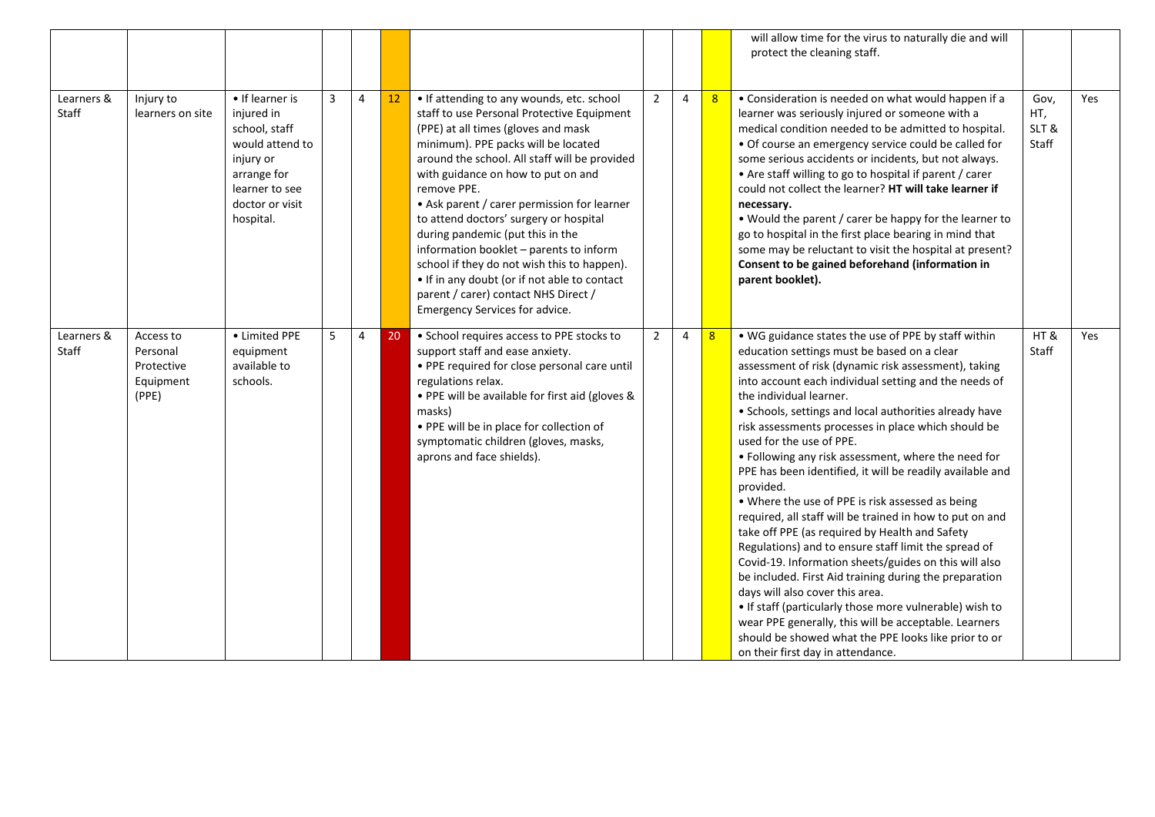|                     |                                                           |                                                                                                                                                 |   |   |    |                                                                                                                                                                                                                                                                                                                                                                                                                                                                                                                                                                                                                              |                |   |                | will allow time for the virus to naturally die and will<br>protect the cleaning staff.                                                                                                                                                                                                                                                                                                                                                                                                                                                                                                                                                                                                                                                                                                                                                                                                                                                                                                                                                                                                                                        |                              |     |
|---------------------|-----------------------------------------------------------|-------------------------------------------------------------------------------------------------------------------------------------------------|---|---|----|------------------------------------------------------------------------------------------------------------------------------------------------------------------------------------------------------------------------------------------------------------------------------------------------------------------------------------------------------------------------------------------------------------------------------------------------------------------------------------------------------------------------------------------------------------------------------------------------------------------------------|----------------|---|----------------|-------------------------------------------------------------------------------------------------------------------------------------------------------------------------------------------------------------------------------------------------------------------------------------------------------------------------------------------------------------------------------------------------------------------------------------------------------------------------------------------------------------------------------------------------------------------------------------------------------------------------------------------------------------------------------------------------------------------------------------------------------------------------------------------------------------------------------------------------------------------------------------------------------------------------------------------------------------------------------------------------------------------------------------------------------------------------------------------------------------------------------|------------------------------|-----|
| Learners &<br>Staff | Injury to<br>learners on site                             | • If learner is<br>injured in<br>school, staff<br>would attend to<br>injury or<br>arrange for<br>learner to see<br>doctor or visit<br>hospital. | 3 | 4 | 12 | • If attending to any wounds, etc. school<br>staff to use Personal Protective Equipment<br>(PPE) at all times (gloves and mask<br>minimum). PPE packs will be located<br>around the school. All staff will be provided<br>with guidance on how to put on and<br>remove PPE.<br>• Ask parent / carer permission for learner<br>to attend doctors' surgery or hospital<br>during pandemic (put this in the<br>information booklet - parents to inform<br>school if they do not wish this to happen).<br>• If in any doubt (or if not able to contact<br>parent / carer) contact NHS Direct /<br>Emergency Services for advice. | $\overline{2}$ | 4 | 8 <sup>2</sup> | • Consideration is needed on what would happen if a<br>learner was seriously injured or someone with a<br>medical condition needed to be admitted to hospital.<br>· Of course an emergency service could be called for<br>some serious accidents or incidents, but not always.<br>• Are staff willing to go to hospital if parent / carer<br>could not collect the learner? HT will take learner if<br>necessary.<br>. Would the parent / carer be happy for the learner to<br>go to hospital in the first place bearing in mind that<br>some may be reluctant to visit the hospital at present?<br>Consent to be gained beforehand (information in<br>parent booklet).                                                                                                                                                                                                                                                                                                                                                                                                                                                       | Gov,<br>HT,<br>SLT&<br>Staff | Yes |
| Learners &<br>Staff | Access to<br>Personal<br>Protective<br>Equipment<br>(PPE) | • Limited PPE<br>equipment<br>available to<br>schools.                                                                                          | 5 | 4 | 20 | • School requires access to PPE stocks to<br>support staff and ease anxiety.<br>• PPE required for close personal care until<br>regulations relax.<br>• PPE will be available for first aid (gloves &<br>masks)<br>• PPE will be in place for collection of<br>symptomatic children (gloves, masks,<br>aprons and face shields).                                                                                                                                                                                                                                                                                             | $\overline{2}$ | 4 | 8              | . WG guidance states the use of PPE by staff within<br>education settings must be based on a clear<br>assessment of risk (dynamic risk assessment), taking<br>into account each individual setting and the needs of<br>the individual learner.<br>• Schools, settings and local authorities already have<br>risk assessments processes in place which should be<br>used for the use of PPE.<br>. Following any risk assessment, where the need for<br>PPE has been identified, it will be readily available and<br>provided.<br>• Where the use of PPE is risk assessed as being<br>required, all staff will be trained in how to put on and<br>take off PPE (as required by Health and Safety<br>Regulations) and to ensure staff limit the spread of<br>Covid-19. Information sheets/guides on this will also<br>be included. First Aid training during the preparation<br>days will also cover this area.<br>. If staff (particularly those more vulnerable) wish to<br>wear PPE generally, this will be acceptable. Learners<br>should be showed what the PPE looks like prior to or<br>on their first day in attendance. | HT&<br>Staff                 | Yes |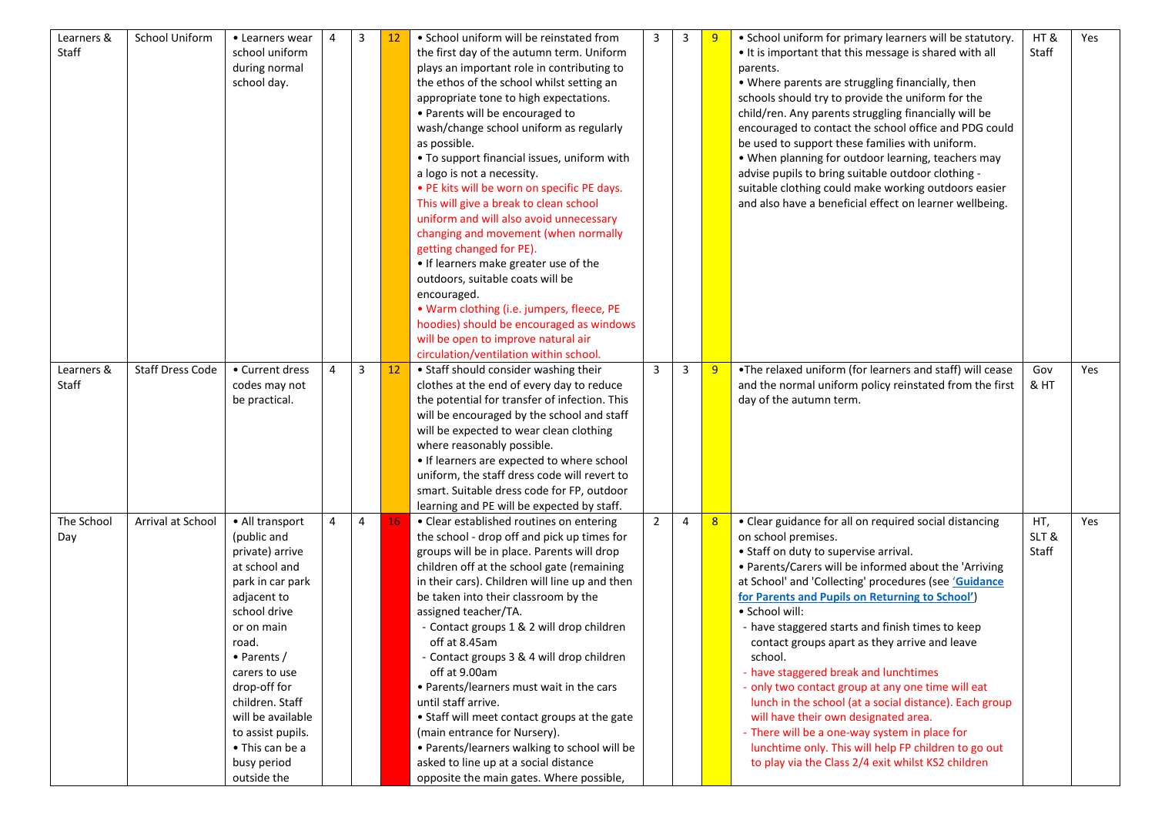| Learners &<br>Staff | School Uniform          | • Learners wear<br>school uniform<br>during normal<br>school day. | 4              | 3              | 12 | • School uniform will be reinstated from<br>the first day of the autumn term. Uniform<br>plays an important role in contributing to<br>the ethos of the school whilst setting an<br>appropriate tone to high expectations.<br>• Parents will be encouraged to<br>wash/change school uniform as regularly<br>as possible.<br>. To support financial issues, uniform with<br>a logo is not a necessity.<br>• PE kits will be worn on specific PE days.<br>This will give a break to clean school<br>uniform and will also avoid unnecessary<br>changing and movement (when normally<br>getting changed for PE).<br>• If learners make greater use of the<br>outdoors, suitable coats will be<br>encouraged.<br>• Warm clothing (i.e. jumpers, fleece, PE<br>hoodies) should be encouraged as windows<br>will be open to improve natural air<br>circulation/ventilation within school. | 3              | 3 | -9 | • School uniform for primary learners will be statutory.<br>. It is important that this message is shared with all<br>parents.<br>• Where parents are struggling financially, then<br>schools should try to provide the uniform for the<br>child/ren. Any parents struggling financially will be<br>encouraged to contact the school office and PDG could<br>be used to support these families with uniform.<br>• When planning for outdoor learning, teachers may<br>advise pupils to bring suitable outdoor clothing -<br>suitable clothing could make working outdoors easier<br>and also have a beneficial effect on learner wellbeing. | HT&<br>Staff | Yes |
|---------------------|-------------------------|-------------------------------------------------------------------|----------------|----------------|----|-------------------------------------------------------------------------------------------------------------------------------------------------------------------------------------------------------------------------------------------------------------------------------------------------------------------------------------------------------------------------------------------------------------------------------------------------------------------------------------------------------------------------------------------------------------------------------------------------------------------------------------------------------------------------------------------------------------------------------------------------------------------------------------------------------------------------------------------------------------------------------------|----------------|---|----|---------------------------------------------------------------------------------------------------------------------------------------------------------------------------------------------------------------------------------------------------------------------------------------------------------------------------------------------------------------------------------------------------------------------------------------------------------------------------------------------------------------------------------------------------------------------------------------------------------------------------------------------|--------------|-----|
| Learners &<br>Staff | <b>Staff Dress Code</b> | • Current dress<br>codes may not                                  | $\overline{4}$ | 3              | 12 | • Staff should consider washing their<br>clothes at the end of every day to reduce                                                                                                                                                                                                                                                                                                                                                                                                                                                                                                                                                                                                                                                                                                                                                                                                  | 3              | 3 | 9  | . The relaxed uniform (for learners and staff) will cease<br>and the normal uniform policy reinstated from the first                                                                                                                                                                                                                                                                                                                                                                                                                                                                                                                        | Gov<br>& HT  | Yes |
|                     |                         | be practical.                                                     |                |                |    | the potential for transfer of infection. This                                                                                                                                                                                                                                                                                                                                                                                                                                                                                                                                                                                                                                                                                                                                                                                                                                       |                |   |    | day of the autumn term.                                                                                                                                                                                                                                                                                                                                                                                                                                                                                                                                                                                                                     |              |     |
|                     |                         |                                                                   |                |                |    | will be encouraged by the school and staff                                                                                                                                                                                                                                                                                                                                                                                                                                                                                                                                                                                                                                                                                                                                                                                                                                          |                |   |    |                                                                                                                                                                                                                                                                                                                                                                                                                                                                                                                                                                                                                                             |              |     |
|                     |                         |                                                                   |                |                |    | will be expected to wear clean clothing                                                                                                                                                                                                                                                                                                                                                                                                                                                                                                                                                                                                                                                                                                                                                                                                                                             |                |   |    |                                                                                                                                                                                                                                                                                                                                                                                                                                                                                                                                                                                                                                             |              |     |
|                     |                         |                                                                   |                |                |    | where reasonably possible.                                                                                                                                                                                                                                                                                                                                                                                                                                                                                                                                                                                                                                                                                                                                                                                                                                                          |                |   |    |                                                                                                                                                                                                                                                                                                                                                                                                                                                                                                                                                                                                                                             |              |     |
|                     |                         |                                                                   |                |                |    | • If learners are expected to where school                                                                                                                                                                                                                                                                                                                                                                                                                                                                                                                                                                                                                                                                                                                                                                                                                                          |                |   |    |                                                                                                                                                                                                                                                                                                                                                                                                                                                                                                                                                                                                                                             |              |     |
|                     |                         |                                                                   |                |                |    | uniform, the staff dress code will revert to                                                                                                                                                                                                                                                                                                                                                                                                                                                                                                                                                                                                                                                                                                                                                                                                                                        |                |   |    |                                                                                                                                                                                                                                                                                                                                                                                                                                                                                                                                                                                                                                             |              |     |
|                     |                         |                                                                   |                |                |    | smart. Suitable dress code for FP, outdoor                                                                                                                                                                                                                                                                                                                                                                                                                                                                                                                                                                                                                                                                                                                                                                                                                                          |                |   |    |                                                                                                                                                                                                                                                                                                                                                                                                                                                                                                                                                                                                                                             |              |     |
|                     |                         |                                                                   |                |                |    | learning and PE will be expected by staff.                                                                                                                                                                                                                                                                                                                                                                                                                                                                                                                                                                                                                                                                                                                                                                                                                                          |                |   |    |                                                                                                                                                                                                                                                                                                                                                                                                                                                                                                                                                                                                                                             |              |     |
| The School          | Arrival at School       | • All transport                                                   | $\overline{4}$ | $\overline{4}$ | 16 | • Clear established routines on entering                                                                                                                                                                                                                                                                                                                                                                                                                                                                                                                                                                                                                                                                                                                                                                                                                                            | $\overline{2}$ | 4 | 8  | • Clear guidance for all on required social distancing                                                                                                                                                                                                                                                                                                                                                                                                                                                                                                                                                                                      | HT,          | Yes |
| Day                 |                         | (public and                                                       |                |                |    | the school - drop off and pick up times for                                                                                                                                                                                                                                                                                                                                                                                                                                                                                                                                                                                                                                                                                                                                                                                                                                         |                |   |    | on school premises.                                                                                                                                                                                                                                                                                                                                                                                                                                                                                                                                                                                                                         | SLT&         |     |
|                     |                         | private) arrive                                                   |                |                |    | groups will be in place. Parents will drop                                                                                                                                                                                                                                                                                                                                                                                                                                                                                                                                                                                                                                                                                                                                                                                                                                          |                |   |    | • Staff on duty to supervise arrival.                                                                                                                                                                                                                                                                                                                                                                                                                                                                                                                                                                                                       | Staff        |     |
|                     |                         | at school and                                                     |                |                |    | children off at the school gate (remaining                                                                                                                                                                                                                                                                                                                                                                                                                                                                                                                                                                                                                                                                                                                                                                                                                                          |                |   |    | • Parents/Carers will be informed about the 'Arriving                                                                                                                                                                                                                                                                                                                                                                                                                                                                                                                                                                                       |              |     |
|                     |                         | park in car park                                                  |                |                |    | in their cars). Children will line up and then<br>be taken into their classroom by the                                                                                                                                                                                                                                                                                                                                                                                                                                                                                                                                                                                                                                                                                                                                                                                              |                |   |    | at School' and 'Collecting' procedures (see 'Guidance<br>for Parents and Pupils on Returning to School')                                                                                                                                                                                                                                                                                                                                                                                                                                                                                                                                    |              |     |
|                     |                         | adjacent to<br>school drive                                       |                |                |    | assigned teacher/TA.                                                                                                                                                                                                                                                                                                                                                                                                                                                                                                                                                                                                                                                                                                                                                                                                                                                                |                |   |    | · School will:                                                                                                                                                                                                                                                                                                                                                                                                                                                                                                                                                                                                                              |              |     |
|                     |                         | or on main                                                        |                |                |    | - Contact groups 1 & 2 will drop children                                                                                                                                                                                                                                                                                                                                                                                                                                                                                                                                                                                                                                                                                                                                                                                                                                           |                |   |    | - have staggered starts and finish times to keep                                                                                                                                                                                                                                                                                                                                                                                                                                                                                                                                                                                            |              |     |
|                     |                         | road.                                                             |                |                |    | off at 8.45am                                                                                                                                                                                                                                                                                                                                                                                                                                                                                                                                                                                                                                                                                                                                                                                                                                                                       |                |   |    | contact groups apart as they arrive and leave                                                                                                                                                                                                                                                                                                                                                                                                                                                                                                                                                                                               |              |     |
|                     |                         | $\bullet$ Parents /                                               |                |                |    | - Contact groups 3 & 4 will drop children                                                                                                                                                                                                                                                                                                                                                                                                                                                                                                                                                                                                                                                                                                                                                                                                                                           |                |   |    | school.                                                                                                                                                                                                                                                                                                                                                                                                                                                                                                                                                                                                                                     |              |     |
|                     |                         | carers to use                                                     |                |                |    | off at 9.00am                                                                                                                                                                                                                                                                                                                                                                                                                                                                                                                                                                                                                                                                                                                                                                                                                                                                       |                |   |    | - have staggered break and lunchtimes                                                                                                                                                                                                                                                                                                                                                                                                                                                                                                                                                                                                       |              |     |
|                     |                         | drop-off for                                                      |                |                |    | • Parents/learners must wait in the cars                                                                                                                                                                                                                                                                                                                                                                                                                                                                                                                                                                                                                                                                                                                                                                                                                                            |                |   |    | - only two contact group at any one time will eat                                                                                                                                                                                                                                                                                                                                                                                                                                                                                                                                                                                           |              |     |
|                     |                         | children. Staff                                                   |                |                |    | until staff arrive.                                                                                                                                                                                                                                                                                                                                                                                                                                                                                                                                                                                                                                                                                                                                                                                                                                                                 |                |   |    | lunch in the school (at a social distance). Each group                                                                                                                                                                                                                                                                                                                                                                                                                                                                                                                                                                                      |              |     |
|                     |                         | will be available                                                 |                |                |    | • Staff will meet contact groups at the gate                                                                                                                                                                                                                                                                                                                                                                                                                                                                                                                                                                                                                                                                                                                                                                                                                                        |                |   |    | will have their own designated area.                                                                                                                                                                                                                                                                                                                                                                                                                                                                                                                                                                                                        |              |     |
|                     |                         | to assist pupils.                                                 |                |                |    | (main entrance for Nursery).                                                                                                                                                                                                                                                                                                                                                                                                                                                                                                                                                                                                                                                                                                                                                                                                                                                        |                |   |    | - There will be a one-way system in place for                                                                                                                                                                                                                                                                                                                                                                                                                                                                                                                                                                                               |              |     |
|                     |                         | • This can be a                                                   |                |                |    | • Parents/learners walking to school will be                                                                                                                                                                                                                                                                                                                                                                                                                                                                                                                                                                                                                                                                                                                                                                                                                                        |                |   |    | lunchtime only. This will help FP children to go out                                                                                                                                                                                                                                                                                                                                                                                                                                                                                                                                                                                        |              |     |
|                     |                         | busy period                                                       |                |                |    | asked to line up at a social distance                                                                                                                                                                                                                                                                                                                                                                                                                                                                                                                                                                                                                                                                                                                                                                                                                                               |                |   |    | to play via the Class 2/4 exit whilst KS2 children                                                                                                                                                                                                                                                                                                                                                                                                                                                                                                                                                                                          |              |     |
|                     |                         | outside the                                                       |                |                |    | opposite the main gates. Where possible,                                                                                                                                                                                                                                                                                                                                                                                                                                                                                                                                                                                                                                                                                                                                                                                                                                            |                |   |    |                                                                                                                                                                                                                                                                                                                                                                                                                                                                                                                                                                                                                                             |              |     |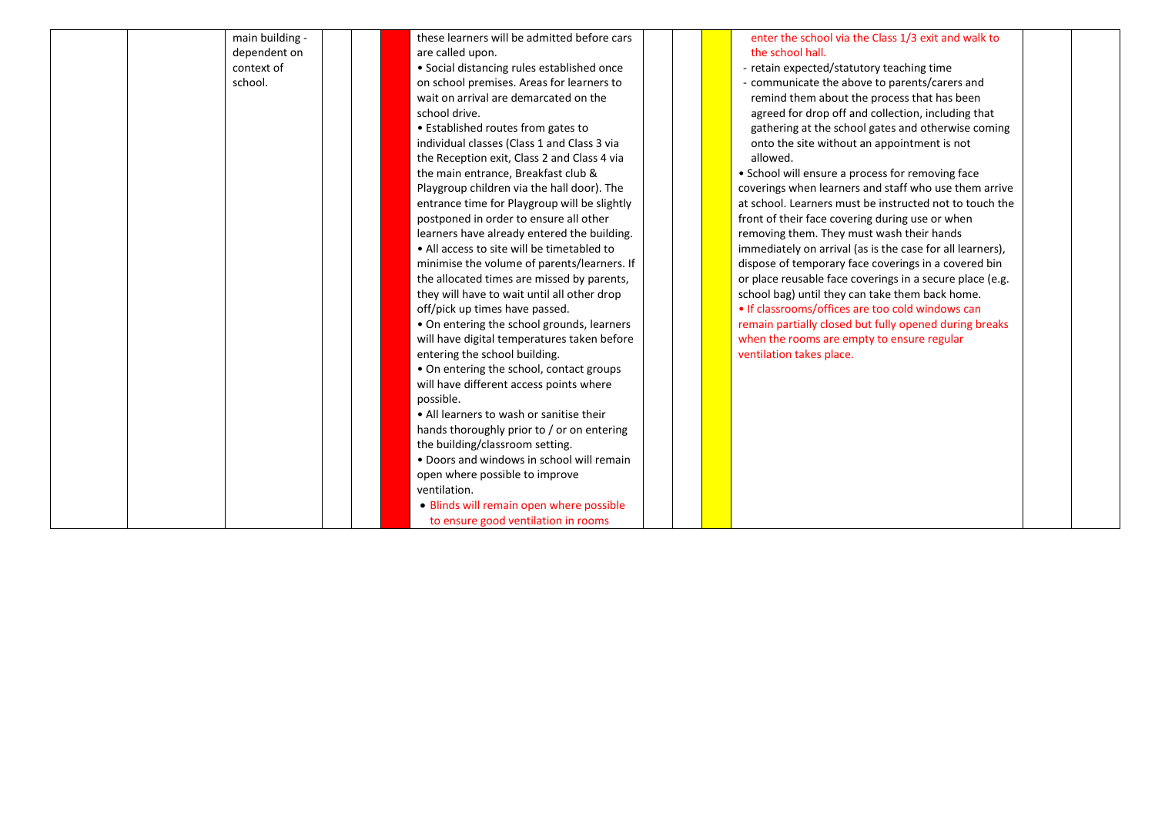| main building - | these learners will be admitted before cars  |  | enter the school via the Class 1/3 exit and walk to       |  |
|-----------------|----------------------------------------------|--|-----------------------------------------------------------|--|
| dependent on    | are called upon.                             |  | the school hall.                                          |  |
| context of      | • Social distancing rules established once   |  | - retain expected/statutory teaching time                 |  |
| school.         | on school premises. Areas for learners to    |  | - communicate the above to parents/carers and             |  |
|                 | wait on arrival are demarcated on the        |  | remind them about the process that has been               |  |
|                 | school drive.                                |  | agreed for drop off and collection, including that        |  |
|                 | • Established routes from gates to           |  | gathering at the school gates and otherwise coming        |  |
|                 | individual classes (Class 1 and Class 3 via  |  | onto the site without an appointment is not               |  |
|                 | the Reception exit, Class 2 and Class 4 via  |  | allowed.                                                  |  |
|                 | the main entrance, Breakfast club &          |  | • School will ensure a process for removing face          |  |
|                 | Playgroup children via the hall door). The   |  | coverings when learners and staff who use them arrive     |  |
|                 | entrance time for Playgroup will be slightly |  | at school. Learners must be instructed not to touch the   |  |
|                 | postponed in order to ensure all other       |  | front of their face covering during use or when           |  |
|                 | learners have already entered the building.  |  | removing them. They must wash their hands                 |  |
|                 | • All access to site will be timetabled to   |  | immediately on arrival (as is the case for all learners), |  |
|                 | minimise the volume of parents/learners. If  |  | dispose of temporary face coverings in a covered bin      |  |
|                 | the allocated times are missed by parents,   |  | or place reusable face coverings in a secure place (e.g.  |  |
|                 | they will have to wait until all other drop  |  | school bag) until they can take them back home.           |  |
|                 | off/pick up times have passed.               |  | • If classrooms/offices are too cold windows can          |  |
|                 | • On entering the school grounds, learners   |  | remain partially closed but fully opened during breaks    |  |
|                 | will have digital temperatures taken before  |  | when the rooms are empty to ensure regular                |  |
|                 | entering the school building.                |  | ventilation takes place.                                  |  |
|                 | • On entering the school, contact groups     |  |                                                           |  |
|                 | will have different access points where      |  |                                                           |  |
|                 | possible.                                    |  |                                                           |  |
|                 | • All learners to wash or sanitise their     |  |                                                           |  |
|                 | hands thoroughly prior to / or on entering   |  |                                                           |  |
|                 | the building/classroom setting.              |  |                                                           |  |
|                 | . Doors and windows in school will remain    |  |                                                           |  |
|                 | open where possible to improve               |  |                                                           |  |
|                 | ventilation.                                 |  |                                                           |  |
|                 | . Blinds will remain open where possible     |  |                                                           |  |
|                 | to ensure good ventilation in rooms          |  |                                                           |  |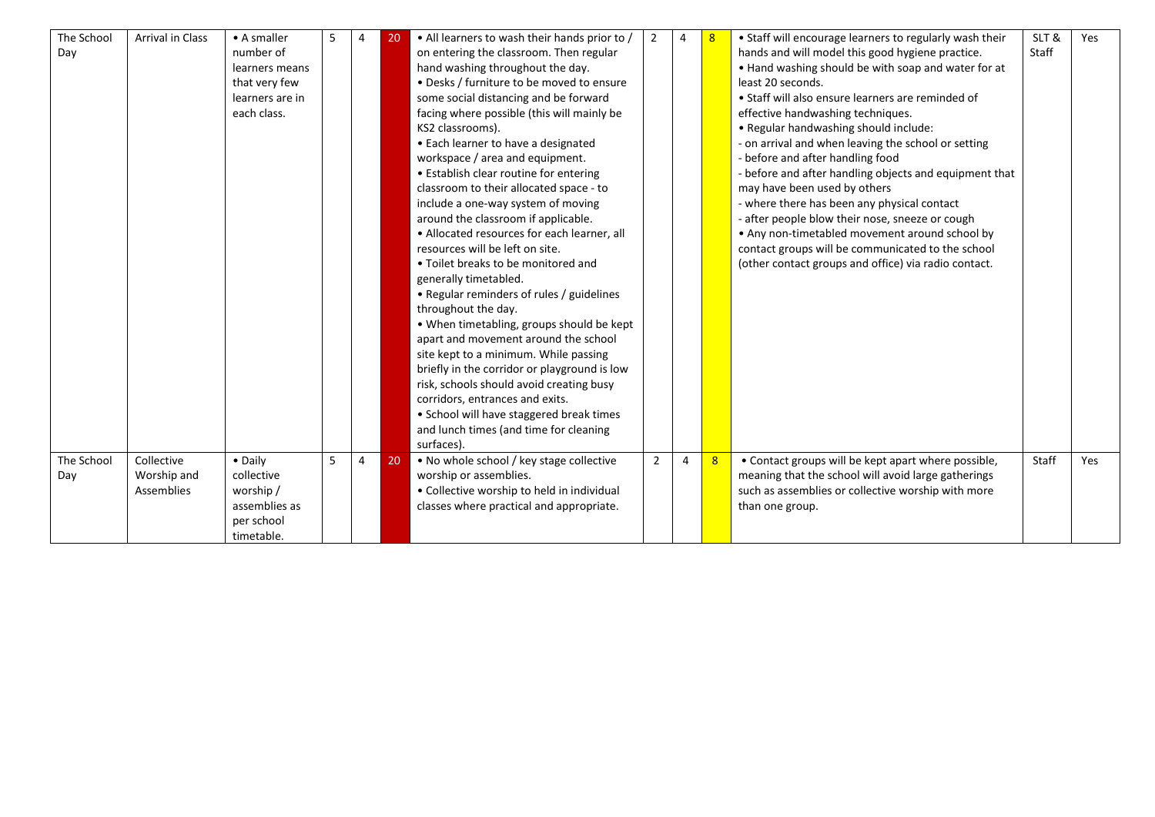| The School | <b>Arrival in Class</b> | $\bullet$ A smaller | 5 | $\overline{4}$ | 20 | • All learners to wash their hands prior to / | $\overline{2}$ | $\overline{4}$ | 8 | • Staff will encourage learners to regularly wash their | SLT&  | Yes |
|------------|-------------------------|---------------------|---|----------------|----|-----------------------------------------------|----------------|----------------|---|---------------------------------------------------------|-------|-----|
| Day        |                         | number of           |   |                |    | on entering the classroom. Then regular       |                |                |   | hands and will model this good hygiene practice.        | Staff |     |
|            |                         | learners means      |   |                |    | hand washing throughout the day.              |                |                |   | . Hand washing should be with soap and water for at     |       |     |
|            |                         | that very few       |   |                |    | • Desks / furniture to be moved to ensure     |                |                |   | least 20 seconds.                                       |       |     |
|            |                         | learners are in     |   |                |    | some social distancing and be forward         |                |                |   | • Staff will also ensure learners are reminded of       |       |     |
|            |                         | each class.         |   |                |    | facing where possible (this will mainly be    |                |                |   | effective handwashing techniques.                       |       |     |
|            |                         |                     |   |                |    | KS2 classrooms).                              |                |                |   | • Regular handwashing should include:                   |       |     |
|            |                         |                     |   |                |    | • Each learner to have a designated           |                |                |   | - on arrival and when leaving the school or setting     |       |     |
|            |                         |                     |   |                |    | workspace / area and equipment.               |                |                |   | - before and after handling food                        |       |     |
|            |                         |                     |   |                |    | • Establish clear routine for entering        |                |                |   | - before and after handling objects and equipment that  |       |     |
|            |                         |                     |   |                |    | classroom to their allocated space - to       |                |                |   | may have been used by others                            |       |     |
|            |                         |                     |   |                |    | include a one-way system of moving            |                |                |   | - where there has been any physical contact             |       |     |
|            |                         |                     |   |                |    | around the classroom if applicable.           |                |                |   | - after people blow their nose, sneeze or cough         |       |     |
|            |                         |                     |   |                |    | • Allocated resources for each learner, all   |                |                |   | • Any non-timetabled movement around school by          |       |     |
|            |                         |                     |   |                |    | resources will be left on site.               |                |                |   | contact groups will be communicated to the school       |       |     |
|            |                         |                     |   |                |    | • Toilet breaks to be monitored and           |                |                |   | (other contact groups and office) via radio contact.    |       |     |
|            |                         |                     |   |                |    | generally timetabled.                         |                |                |   |                                                         |       |     |
|            |                         |                     |   |                |    | • Regular reminders of rules / guidelines     |                |                |   |                                                         |       |     |
|            |                         |                     |   |                |    | throughout the day.                           |                |                |   |                                                         |       |     |
|            |                         |                     |   |                |    | • When timetabling, groups should be kept     |                |                |   |                                                         |       |     |
|            |                         |                     |   |                |    | apart and movement around the school          |                |                |   |                                                         |       |     |
|            |                         |                     |   |                |    | site kept to a minimum. While passing         |                |                |   |                                                         |       |     |
|            |                         |                     |   |                |    | briefly in the corridor or playground is low  |                |                |   |                                                         |       |     |
|            |                         |                     |   |                |    | risk, schools should avoid creating busy      |                |                |   |                                                         |       |     |
|            |                         |                     |   |                |    | corridors, entrances and exits.               |                |                |   |                                                         |       |     |
|            |                         |                     |   |                |    | • School will have staggered break times      |                |                |   |                                                         |       |     |
|            |                         |                     |   |                |    | and lunch times (and time for cleaning        |                |                |   |                                                         |       |     |
|            |                         |                     |   |                |    | surfaces).                                    |                |                |   |                                                         |       |     |
| The School | Collective              | • Daily             | 5 | $\overline{4}$ | 20 | . No whole school / key stage collective      | $\overline{2}$ | 4              | 8 | • Contact groups will be kept apart where possible,     | Staff | Yes |
| Day        | Worship and             | collective          |   |                |    | worship or assemblies.                        |                |                |   | meaning that the school will avoid large gatherings     |       |     |
|            | <b>Assemblies</b>       | worship/            |   |                |    | • Collective worship to held in individual    |                |                |   | such as assemblies or collective worship with more      |       |     |
|            |                         | assemblies as       |   |                |    | classes where practical and appropriate.      |                |                |   | than one group.                                         |       |     |
|            |                         | per school          |   |                |    |                                               |                |                |   |                                                         |       |     |
|            |                         | timetable.          |   |                |    |                                               |                |                |   |                                                         |       |     |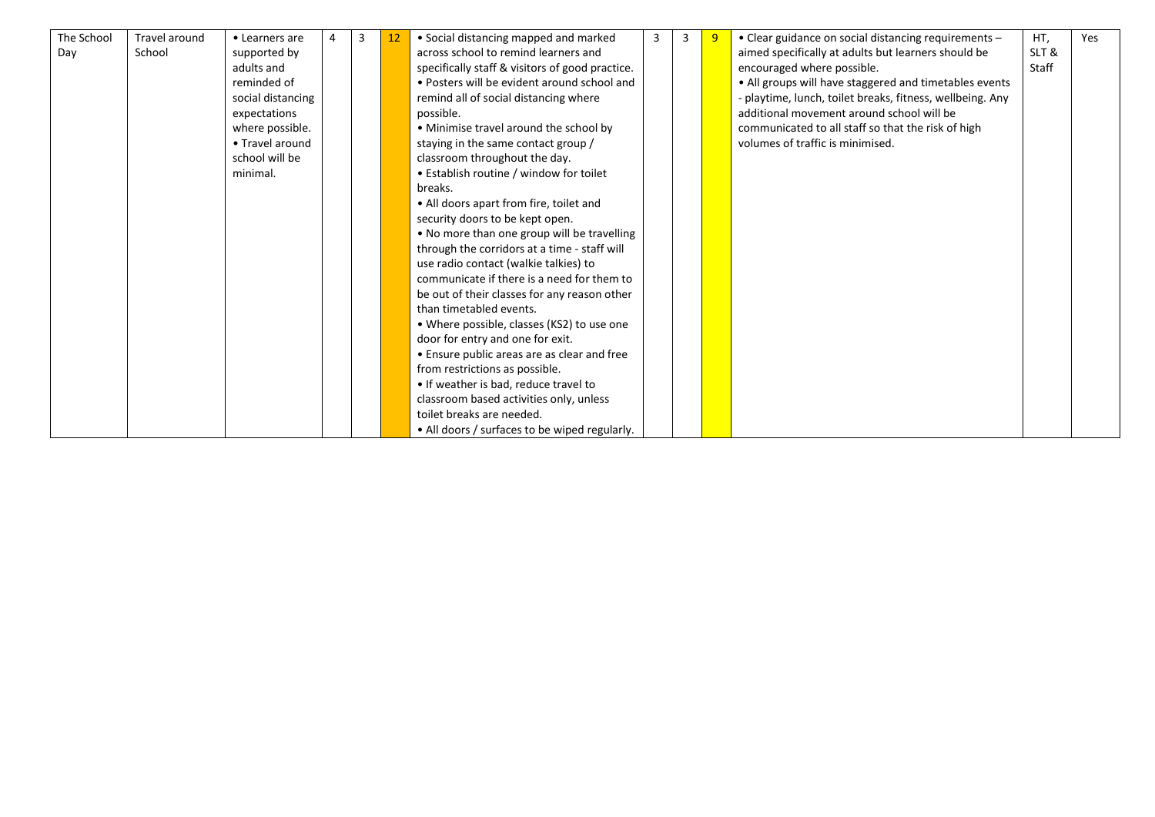| The School | Travel around | • Learners are    | 3 | 12 | • Social distancing mapped and marked           | 3 | 3 | 9 | • Clear guidance on social distancing requirements -      | HT,   | Yes |
|------------|---------------|-------------------|---|----|-------------------------------------------------|---|---|---|-----------------------------------------------------------|-------|-----|
| Day        | School        | supported by      |   |    | across school to remind learners and            |   |   |   | aimed specifically at adults but learners should be       | SLT&  |     |
|            |               | adults and        |   |    | specifically staff & visitors of good practice. |   |   |   | encouraged where possible.                                | Staff |     |
|            |               | reminded of       |   |    | • Posters will be evident around school and     |   |   |   | • All groups will have staggered and timetables events    |       |     |
|            |               | social distancing |   |    | remind all of social distancing where           |   |   |   | - playtime, lunch, toilet breaks, fitness, wellbeing. Any |       |     |
|            |               | expectations      |   |    | possible.                                       |   |   |   | additional movement around school will be                 |       |     |
|            |               | where possible.   |   |    | • Minimise travel around the school by          |   |   |   | communicated to all staff so that the risk of high        |       |     |
|            |               | • Travel around   |   |    | staying in the same contact group /             |   |   |   | volumes of traffic is minimised.                          |       |     |
|            |               | school will be    |   |    | classroom throughout the day.                   |   |   |   |                                                           |       |     |
|            |               | minimal.          |   |    | • Establish routine / window for toilet         |   |   |   |                                                           |       |     |
|            |               |                   |   |    | breaks.                                         |   |   |   |                                                           |       |     |
|            |               |                   |   |    | • All doors apart from fire, toilet and         |   |   |   |                                                           |       |     |
|            |               |                   |   |    | security doors to be kept open.                 |   |   |   |                                                           |       |     |
|            |               |                   |   |    | . No more than one group will be travelling     |   |   |   |                                                           |       |     |
|            |               |                   |   |    | through the corridors at a time - staff will    |   |   |   |                                                           |       |     |
|            |               |                   |   |    | use radio contact (walkie talkies) to           |   |   |   |                                                           |       |     |
|            |               |                   |   |    | communicate if there is a need for them to      |   |   |   |                                                           |       |     |
|            |               |                   |   |    | be out of their classes for any reason other    |   |   |   |                                                           |       |     |
|            |               |                   |   |    | than timetabled events.                         |   |   |   |                                                           |       |     |
|            |               |                   |   |    | • Where possible, classes (KS2) to use one      |   |   |   |                                                           |       |     |
|            |               |                   |   |    | door for entry and one for exit.                |   |   |   |                                                           |       |     |
|            |               |                   |   |    | • Ensure public areas are as clear and free     |   |   |   |                                                           |       |     |
|            |               |                   |   |    | from restrictions as possible.                  |   |   |   |                                                           |       |     |
|            |               |                   |   |    | • If weather is bad, reduce travel to           |   |   |   |                                                           |       |     |
|            |               |                   |   |    | classroom based activities only, unless         |   |   |   |                                                           |       |     |
|            |               |                   |   |    | toilet breaks are needed.                       |   |   |   |                                                           |       |     |
|            |               |                   |   |    | • All doors / surfaces to be wiped regularly.   |   |   |   |                                                           |       |     |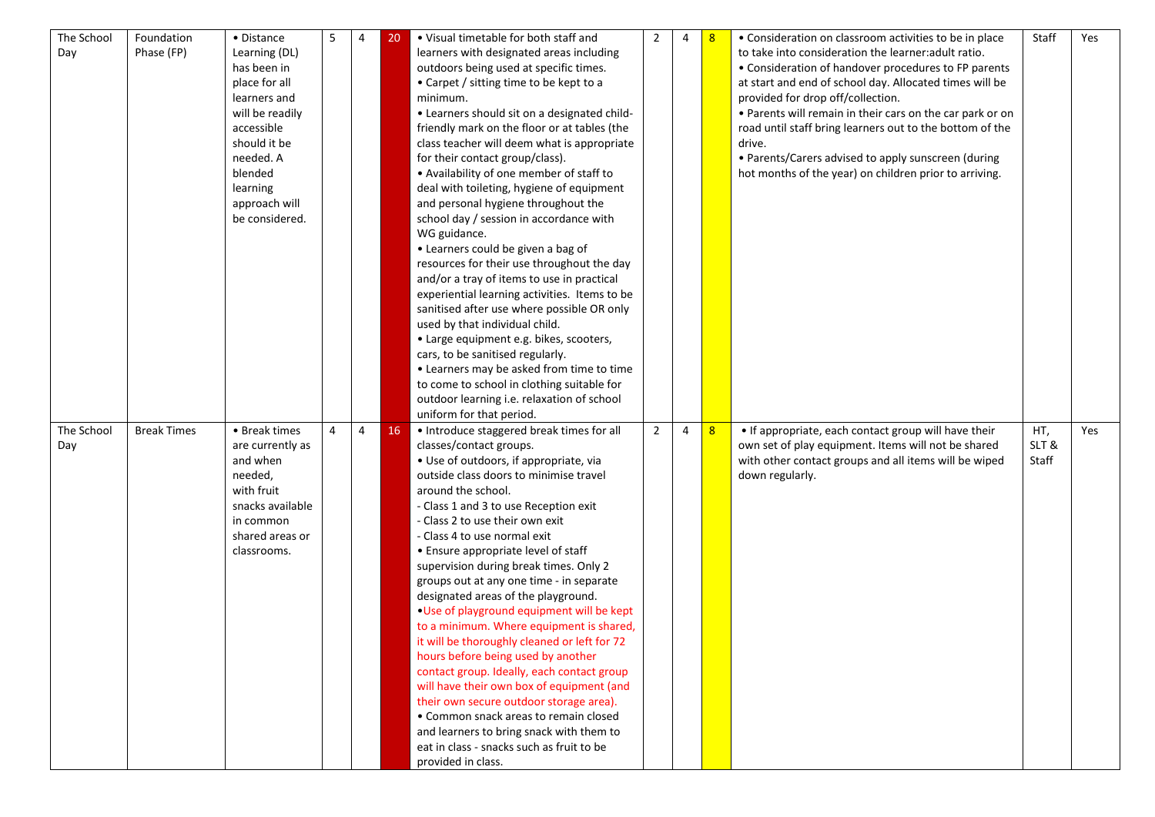| The School | Foundation         | • Distance       | 5 | 4              | 20 | • Visual timetable for both staff and                           | 2              | 4 | 8 | • Consideration on classroom activities to be in place    | Staff | Yes |
|------------|--------------------|------------------|---|----------------|----|-----------------------------------------------------------------|----------------|---|---|-----------------------------------------------------------|-------|-----|
| Day        | Phase (FP)         | Learning (DL)    |   |                |    | learners with designated areas including                        |                |   |   | to take into consideration the learner: adult ratio.      |       |     |
|            |                    | has been in      |   |                |    | outdoors being used at specific times.                          |                |   |   | • Consideration of handover procedures to FP parents      |       |     |
|            |                    | place for all    |   |                |    | • Carpet / sitting time to be kept to a                         |                |   |   | at start and end of school day. Allocated times will be   |       |     |
|            |                    | learners and     |   |                |    | minimum.                                                        |                |   |   | provided for drop off/collection.                         |       |     |
|            |                    | will be readily  |   |                |    | • Learners should sit on a designated child-                    |                |   |   | • Parents will remain in their cars on the car park or on |       |     |
|            |                    | accessible       |   |                |    | friendly mark on the floor or at tables (the                    |                |   |   | road until staff bring learners out to the bottom of the  |       |     |
|            |                    | should it be     |   |                |    | class teacher will deem what is appropriate                     |                |   |   | drive.                                                    |       |     |
|            |                    | needed. A        |   |                |    | for their contact group/class).                                 |                |   |   | • Parents/Carers advised to apply sunscreen (during       |       |     |
|            |                    | blended          |   |                |    | • Availability of one member of staff to                        |                |   |   | hot months of the year) on children prior to arriving.    |       |     |
|            |                    | learning         |   |                |    | deal with toileting, hygiene of equipment                       |                |   |   |                                                           |       |     |
|            |                    | approach will    |   |                |    | and personal hygiene throughout the                             |                |   |   |                                                           |       |     |
|            |                    | be considered.   |   |                |    | school day / session in accordance with                         |                |   |   |                                                           |       |     |
|            |                    |                  |   |                |    | WG guidance.                                                    |                |   |   |                                                           |       |     |
|            |                    |                  |   |                |    | • Learners could be given a bag of                              |                |   |   |                                                           |       |     |
|            |                    |                  |   |                |    | resources for their use throughout the day                      |                |   |   |                                                           |       |     |
|            |                    |                  |   |                |    | and/or a tray of items to use in practical                      |                |   |   |                                                           |       |     |
|            |                    |                  |   |                |    | experiential learning activities. Items to be                   |                |   |   |                                                           |       |     |
|            |                    |                  |   |                |    | sanitised after use where possible OR only                      |                |   |   |                                                           |       |     |
|            |                    |                  |   |                |    | used by that individual child.                                  |                |   |   |                                                           |       |     |
|            |                    |                  |   |                |    | • Large equipment e.g. bikes, scooters,                         |                |   |   |                                                           |       |     |
|            |                    |                  |   |                |    | cars, to be sanitised regularly.                                |                |   |   |                                                           |       |     |
|            |                    |                  |   |                |    | • Learners may be asked from time to time                       |                |   |   |                                                           |       |     |
|            |                    |                  |   |                |    | to come to school in clothing suitable for                      |                |   |   |                                                           |       |     |
|            |                    |                  |   |                |    | outdoor learning i.e. relaxation of school                      |                |   |   |                                                           |       |     |
|            |                    |                  |   |                |    |                                                                 |                |   |   |                                                           |       |     |
|            |                    |                  |   |                |    |                                                                 |                |   |   |                                                           |       |     |
|            |                    |                  |   |                |    | uniform for that period.                                        |                |   |   |                                                           |       |     |
| The School | <b>Break Times</b> | • Break times    | 4 | $\overline{4}$ | 16 | • Introduce staggered break times for all                       | $\overline{2}$ | 4 | 8 | • If appropriate, each contact group will have their      | HT,   | Yes |
| Day        |                    | are currently as |   |                |    | classes/contact groups.                                         |                |   |   | own set of play equipment. Items will not be shared       | SLT&  |     |
|            |                    | and when         |   |                |    | · Use of outdoors, if appropriate, via                          |                |   |   | with other contact groups and all items will be wiped     | Staff |     |
|            |                    | needed,          |   |                |    | outside class doors to minimise travel                          |                |   |   | down regularly.                                           |       |     |
|            |                    | with fruit       |   |                |    | around the school.                                              |                |   |   |                                                           |       |     |
|            |                    | snacks available |   |                |    | - Class 1 and 3 to use Reception exit                           |                |   |   |                                                           |       |     |
|            |                    | in common        |   |                |    | - Class 2 to use their own exit                                 |                |   |   |                                                           |       |     |
|            |                    | shared areas or  |   |                |    | - Class 4 to use normal exit                                    |                |   |   |                                                           |       |     |
|            |                    | classrooms.      |   |                |    | • Ensure appropriate level of staff                             |                |   |   |                                                           |       |     |
|            |                    |                  |   |                |    | supervision during break times. Only 2                          |                |   |   |                                                           |       |     |
|            |                    |                  |   |                |    | groups out at any one time - in separate                        |                |   |   |                                                           |       |     |
|            |                    |                  |   |                |    | designated areas of the playground.                             |                |   |   |                                                           |       |     |
|            |                    |                  |   |                |    | . Use of playground equipment will be kept                      |                |   |   |                                                           |       |     |
|            |                    |                  |   |                |    | to a minimum. Where equipment is shared,                        |                |   |   |                                                           |       |     |
|            |                    |                  |   |                |    | it will be thoroughly cleaned or left for 72                    |                |   |   |                                                           |       |     |
|            |                    |                  |   |                |    | hours before being used by another                              |                |   |   |                                                           |       |     |
|            |                    |                  |   |                |    | contact group. Ideally, each contact group                      |                |   |   |                                                           |       |     |
|            |                    |                  |   |                |    | will have their own box of equipment (and                       |                |   |   |                                                           |       |     |
|            |                    |                  |   |                |    | their own secure outdoor storage area).                         |                |   |   |                                                           |       |     |
|            |                    |                  |   |                |    | • Common snack areas to remain closed                           |                |   |   |                                                           |       |     |
|            |                    |                  |   |                |    | and learners to bring snack with them to                        |                |   |   |                                                           |       |     |
|            |                    |                  |   |                |    | eat in class - snacks such as fruit to be<br>provided in class. |                |   |   |                                                           |       |     |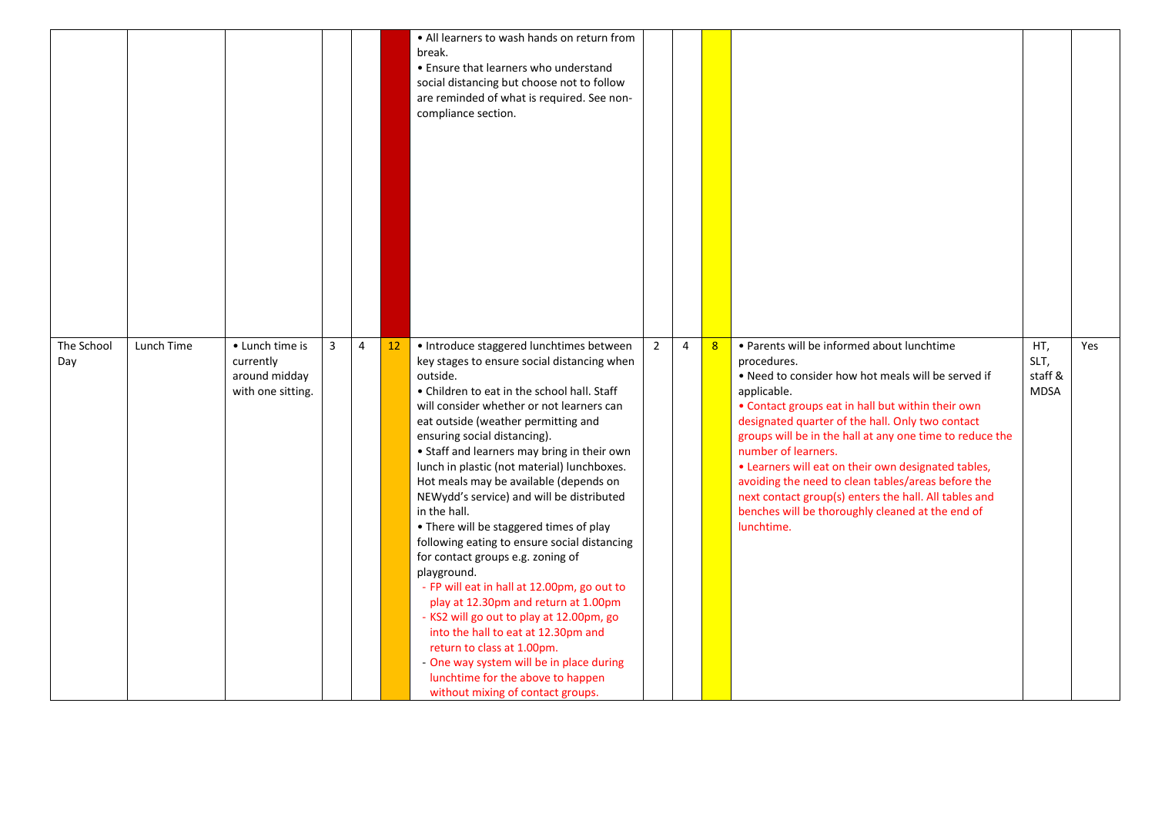|                   |            |                                                                    |                |                |    | • All learners to wash hands on return from<br>break.<br>• Ensure that learners who understand<br>social distancing but choose not to follow<br>are reminded of what is required. See non-<br>compliance section.                                                                                                                                                                                                                                                                                                                                                                                                                                                                                                                                                                                                                                                                                                                                        |                |   |   |                                                                                                                                                                                                                                                                                                                                                                                                                                                                                                                                                                    |                                       |     |
|-------------------|------------|--------------------------------------------------------------------|----------------|----------------|----|----------------------------------------------------------------------------------------------------------------------------------------------------------------------------------------------------------------------------------------------------------------------------------------------------------------------------------------------------------------------------------------------------------------------------------------------------------------------------------------------------------------------------------------------------------------------------------------------------------------------------------------------------------------------------------------------------------------------------------------------------------------------------------------------------------------------------------------------------------------------------------------------------------------------------------------------------------|----------------|---|---|--------------------------------------------------------------------------------------------------------------------------------------------------------------------------------------------------------------------------------------------------------------------------------------------------------------------------------------------------------------------------------------------------------------------------------------------------------------------------------------------------------------------------------------------------------------------|---------------------------------------|-----|
| The School<br>Day | Lunch Time | • Lunch time is<br>currently<br>around midday<br>with one sitting. | $\overline{3}$ | $\overline{4}$ | 12 | · Introduce staggered lunchtimes between<br>key stages to ensure social distancing when<br>outside.<br>• Children to eat in the school hall. Staff<br>will consider whether or not learners can<br>eat outside (weather permitting and<br>ensuring social distancing).<br>• Staff and learners may bring in their own<br>lunch in plastic (not material) lunchboxes.<br>Hot meals may be available (depends on<br>NEWydd's service) and will be distributed<br>in the hall.<br>. There will be staggered times of play<br>following eating to ensure social distancing<br>for contact groups e.g. zoning of<br>playground.<br>- FP will eat in hall at 12.00pm, go out to<br>play at 12.30pm and return at 1.00pm<br>- KS2 will go out to play at 12.00pm, go<br>into the hall to eat at 12.30pm and<br>return to class at 1.00pm.<br>- One way system will be in place during<br>lunchtime for the above to happen<br>without mixing of contact groups. | $\overline{2}$ | 4 | 8 | • Parents will be informed about lunchtime<br>procedures.<br>. Need to consider how hot meals will be served if<br>applicable.<br>• Contact groups eat in hall but within their own<br>designated quarter of the hall. Only two contact<br>groups will be in the hall at any one time to reduce the<br>number of learners.<br>• Learners will eat on their own designated tables,<br>avoiding the need to clean tables/areas before the<br>next contact group(s) enters the hall. All tables and<br>benches will be thoroughly cleaned at the end of<br>lunchtime. | HT,<br>SLT,<br>staff &<br><b>MDSA</b> | Yes |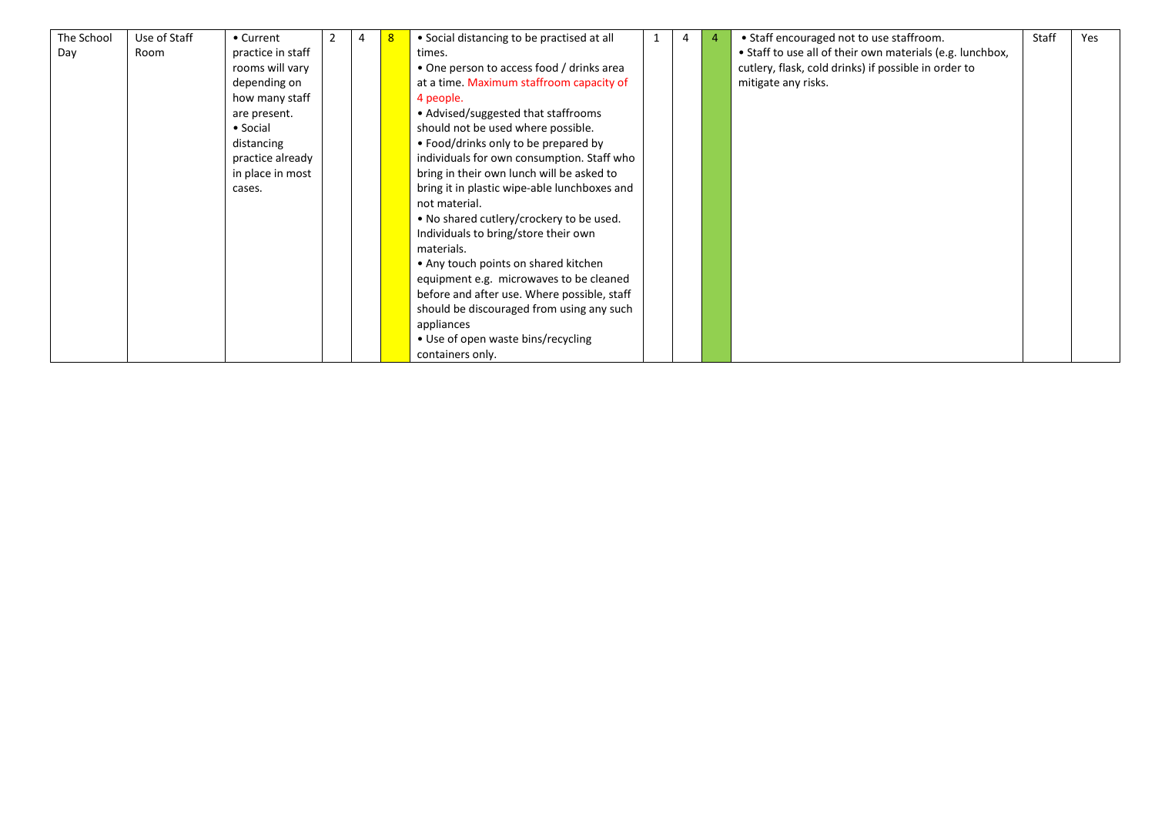| The School | Use of Staff | • Current         |  | • Social distancing to be practised at all   | 4 | 4 | • Staff encouraged not to use staffroom.                  | Staff | Yes |
|------------|--------------|-------------------|--|----------------------------------------------|---|---|-----------------------------------------------------------|-------|-----|
| Day        | Room         | practice in staff |  | times.                                       |   |   | • Staff to use all of their own materials (e.g. lunchbox, |       |     |
|            |              | rooms will vary   |  | • One person to access food / drinks area    |   |   | cutlery, flask, cold drinks) if possible in order to      |       |     |
|            |              | depending on      |  | at a time. Maximum staffroom capacity of     |   |   | mitigate any risks.                                       |       |     |
|            |              | how many staff    |  | 4 people.                                    |   |   |                                                           |       |     |
|            |              | are present.      |  | • Advised/suggested that staffrooms          |   |   |                                                           |       |     |
|            |              | • Social          |  | should not be used where possible.           |   |   |                                                           |       |     |
|            |              | distancing        |  | • Food/drinks only to be prepared by         |   |   |                                                           |       |     |
|            |              | practice already  |  | individuals for own consumption. Staff who   |   |   |                                                           |       |     |
|            |              | in place in most  |  | bring in their own lunch will be asked to    |   |   |                                                           |       |     |
|            |              | cases.            |  | bring it in plastic wipe-able lunchboxes and |   |   |                                                           |       |     |
|            |              |                   |  | not material.                                |   |   |                                                           |       |     |
|            |              |                   |  | • No shared cutlery/crockery to be used.     |   |   |                                                           |       |     |
|            |              |                   |  | Individuals to bring/store their own         |   |   |                                                           |       |     |
|            |              |                   |  | materials.                                   |   |   |                                                           |       |     |
|            |              |                   |  | • Any touch points on shared kitchen         |   |   |                                                           |       |     |
|            |              |                   |  | equipment e.g. microwaves to be cleaned      |   |   |                                                           |       |     |
|            |              |                   |  | before and after use. Where possible, staff  |   |   |                                                           |       |     |
|            |              |                   |  | should be discouraged from using any such    |   |   |                                                           |       |     |
|            |              |                   |  | appliances                                   |   |   |                                                           |       |     |
|            |              |                   |  | • Use of open waste bins/recycling           |   |   |                                                           |       |     |
|            |              |                   |  | containers only.                             |   |   |                                                           |       |     |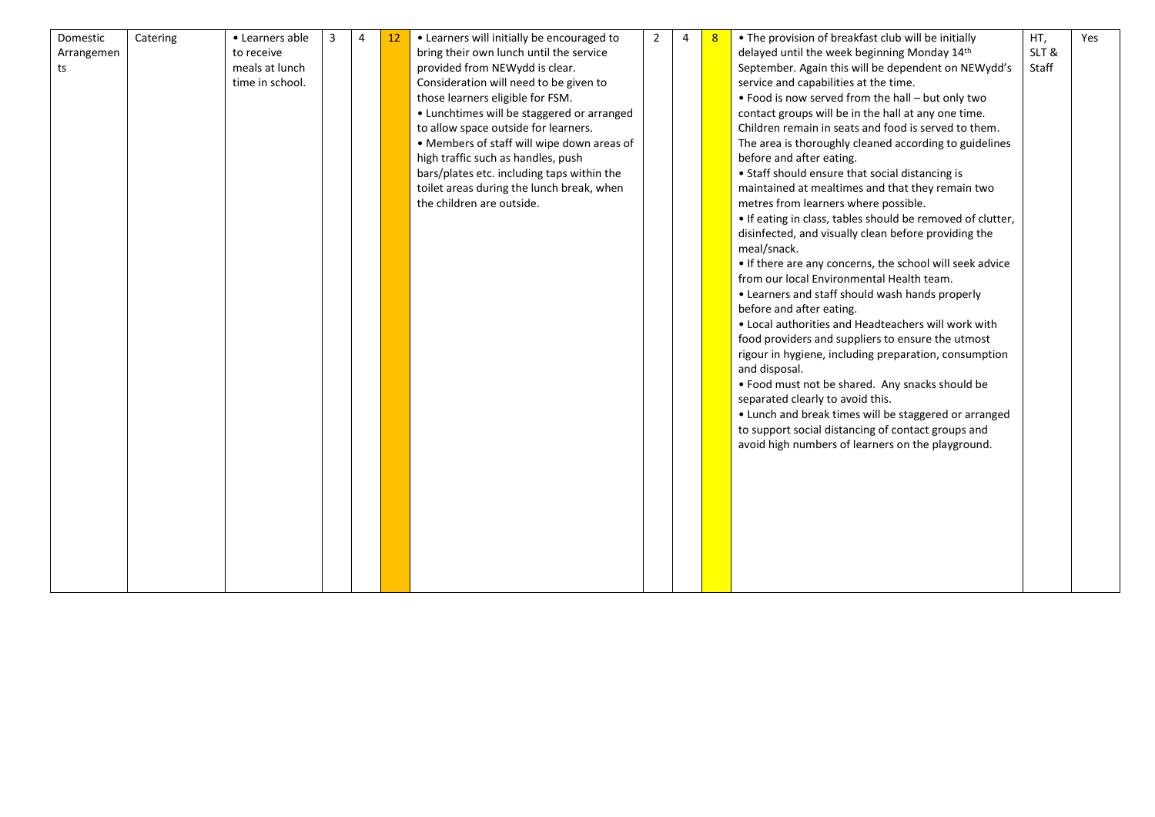| Domestic   | Catering | • Learners able | 3 | 4 | 12 | • Learners will initially be encouraged to | $\overline{2}$ | 4 | 8 | • The provision of breakfast club will be initially        | HT,   | Yes |
|------------|----------|-----------------|---|---|----|--------------------------------------------|----------------|---|---|------------------------------------------------------------|-------|-----|
| Arrangemen |          | to receive      |   |   |    | bring their own lunch until the service    |                |   |   | delayed until the week beginning Monday 14th               | SLT&  |     |
| ts         |          | meals at lunch  |   |   |    | provided from NEWydd is clear.             |                |   |   | September. Again this will be dependent on NEWydd's        | Staff |     |
|            |          | time in school. |   |   |    | Consideration will need to be given to     |                |   |   | service and capabilities at the time.                      |       |     |
|            |          |                 |   |   |    | those learners eligible for FSM.           |                |   |   | . Food is now served from the hall - but only two          |       |     |
|            |          |                 |   |   |    | • Lunchtimes will be staggered or arranged |                |   |   | contact groups will be in the hall at any one time.        |       |     |
|            |          |                 |   |   |    | to allow space outside for learners.       |                |   |   | Children remain in seats and food is served to them.       |       |     |
|            |          |                 |   |   |    | • Members of staff will wipe down areas of |                |   |   | The area is thoroughly cleaned according to guidelines     |       |     |
|            |          |                 |   |   |    | high traffic such as handles, push         |                |   |   | before and after eating.                                   |       |     |
|            |          |                 |   |   |    | bars/plates etc. including taps within the |                |   |   | • Staff should ensure that social distancing is            |       |     |
|            |          |                 |   |   |    | toilet areas during the lunch break, when  |                |   |   | maintained at mealtimes and that they remain two           |       |     |
|            |          |                 |   |   |    | the children are outside.                  |                |   |   | metres from learners where possible.                       |       |     |
|            |          |                 |   |   |    |                                            |                |   |   | . If eating in class, tables should be removed of clutter, |       |     |
|            |          |                 |   |   |    |                                            |                |   |   | disinfected, and visually clean before providing the       |       |     |
|            |          |                 |   |   |    |                                            |                |   |   | meal/snack.                                                |       |     |
|            |          |                 |   |   |    |                                            |                |   |   | • If there are any concerns, the school will seek advice   |       |     |
|            |          |                 |   |   |    |                                            |                |   |   | from our local Environmental Health team.                  |       |     |
|            |          |                 |   |   |    |                                            |                |   |   | • Learners and staff should wash hands properly            |       |     |
|            |          |                 |   |   |    |                                            |                |   |   | before and after eating.                                   |       |     |
|            |          |                 |   |   |    |                                            |                |   |   | • Local authorities and Headteachers will work with        |       |     |
|            |          |                 |   |   |    |                                            |                |   |   | food providers and suppliers to ensure the utmost          |       |     |
|            |          |                 |   |   |    |                                            |                |   |   | rigour in hygiene, including preparation, consumption      |       |     |
|            |          |                 |   |   |    |                                            |                |   |   | and disposal.                                              |       |     |
|            |          |                 |   |   |    |                                            |                |   |   | • Food must not be shared. Any snacks should be            |       |     |
|            |          |                 |   |   |    |                                            |                |   |   | separated clearly to avoid this.                           |       |     |
|            |          |                 |   |   |    |                                            |                |   |   | • Lunch and break times will be staggered or arranged      |       |     |
|            |          |                 |   |   |    |                                            |                |   |   | to support social distancing of contact groups and         |       |     |
|            |          |                 |   |   |    |                                            |                |   |   | avoid high numbers of learners on the playground.          |       |     |
|            |          |                 |   |   |    |                                            |                |   |   |                                                            |       |     |
|            |          |                 |   |   |    |                                            |                |   |   |                                                            |       |     |
|            |          |                 |   |   |    |                                            |                |   |   |                                                            |       |     |
|            |          |                 |   |   |    |                                            |                |   |   |                                                            |       |     |
|            |          |                 |   |   |    |                                            |                |   |   |                                                            |       |     |
|            |          |                 |   |   |    |                                            |                |   |   |                                                            |       |     |
|            |          |                 |   |   |    |                                            |                |   |   |                                                            |       |     |
|            |          |                 |   |   |    |                                            |                |   |   |                                                            |       |     |
|            |          |                 |   |   |    |                                            |                |   |   |                                                            |       |     |
|            |          |                 |   |   |    |                                            |                |   |   |                                                            |       |     |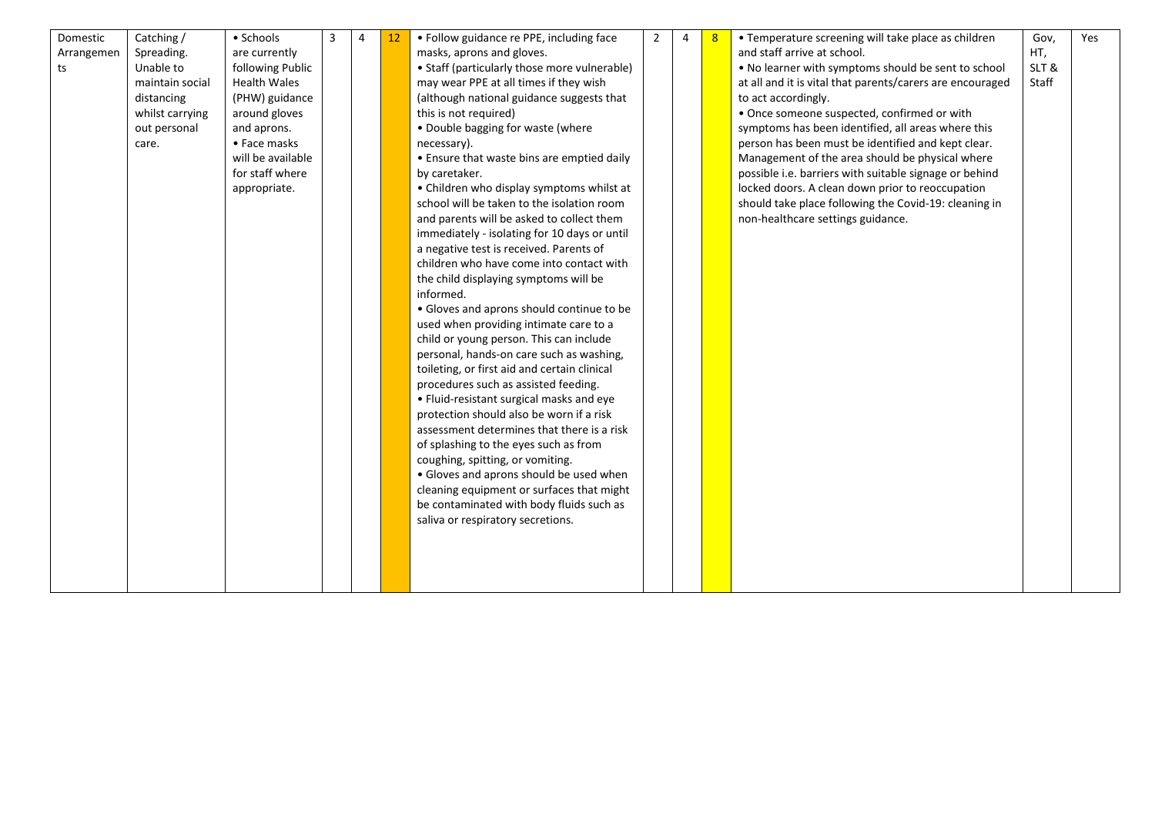| Domestic   | Catching /      | • Schools           | 3 | 4 | 12 | • Follow guidance re PPE, including face     | 2 | $\Delta$ | -8 | • Temperature screening will take place as children       | Gov,  | Yes |
|------------|-----------------|---------------------|---|---|----|----------------------------------------------|---|----------|----|-----------------------------------------------------------|-------|-----|
| Arrangemen | Spreading.      | are currently       |   |   |    | masks, aprons and gloves.                    |   |          |    | and staff arrive at school.                               | HT,   |     |
| ts         | Unable to       | following Public    |   |   |    | • Staff (particularly those more vulnerable) |   |          |    | . No learner with symptoms should be sent to school       | SLT&  |     |
|            | maintain social | <b>Health Wales</b> |   |   |    | may wear PPE at all times if they wish       |   |          |    | at all and it is vital that parents/carers are encouraged | Staff |     |
|            | distancing      | (PHW) guidance      |   |   |    | (although national guidance suggests that    |   |          |    | to act accordingly.                                       |       |     |
|            | whilst carrying | around gloves       |   |   |    | this is not required)                        |   |          |    | • Once someone suspected, confirmed or with               |       |     |
|            | out personal    | and aprons.         |   |   |    | . Double bagging for waste (where            |   |          |    | symptoms has been identified, all areas where this        |       |     |
|            | care.           | • Face masks        |   |   |    | necessary).                                  |   |          |    | person has been must be identified and kept clear.        |       |     |
|            |                 | will be available   |   |   |    | • Ensure that waste bins are emptied daily   |   |          |    | Management of the area should be physical where           |       |     |
|            |                 | for staff where     |   |   |    | by caretaker.                                |   |          |    | possible i.e. barriers with suitable signage or behind    |       |     |
|            |                 | appropriate.        |   |   |    | • Children who display symptoms whilst at    |   |          |    | locked doors. A clean down prior to reoccupation          |       |     |
|            |                 |                     |   |   |    | school will be taken to the isolation room   |   |          |    | should take place following the Covid-19: cleaning in     |       |     |
|            |                 |                     |   |   |    | and parents will be asked to collect them    |   |          |    | non-healthcare settings guidance.                         |       |     |
|            |                 |                     |   |   |    | immediately - isolating for 10 days or until |   |          |    |                                                           |       |     |
|            |                 |                     |   |   |    | a negative test is received. Parents of      |   |          |    |                                                           |       |     |
|            |                 |                     |   |   |    | children who have come into contact with     |   |          |    |                                                           |       |     |
|            |                 |                     |   |   |    | the child displaying symptoms will be        |   |          |    |                                                           |       |     |
|            |                 |                     |   |   |    | informed.                                    |   |          |    |                                                           |       |     |
|            |                 |                     |   |   |    | • Gloves and aprons should continue to be    |   |          |    |                                                           |       |     |
|            |                 |                     |   |   |    | used when providing intimate care to a       |   |          |    |                                                           |       |     |
|            |                 |                     |   |   |    | child or young person. This can include      |   |          |    |                                                           |       |     |
|            |                 |                     |   |   |    | personal, hands-on care such as washing,     |   |          |    |                                                           |       |     |
|            |                 |                     |   |   |    | toileting, or first aid and certain clinical |   |          |    |                                                           |       |     |
|            |                 |                     |   |   |    | procedures such as assisted feeding.         |   |          |    |                                                           |       |     |
|            |                 |                     |   |   |    | • Fluid-resistant surgical masks and eye     |   |          |    |                                                           |       |     |
|            |                 |                     |   |   |    | protection should also be worn if a risk     |   |          |    |                                                           |       |     |
|            |                 |                     |   |   |    | assessment determines that there is a risk   |   |          |    |                                                           |       |     |
|            |                 |                     |   |   |    | of splashing to the eyes such as from        |   |          |    |                                                           |       |     |
|            |                 |                     |   |   |    | coughing, spitting, or vomiting.             |   |          |    |                                                           |       |     |
|            |                 |                     |   |   |    | • Gloves and aprons should be used when      |   |          |    |                                                           |       |     |
|            |                 |                     |   |   |    | cleaning equipment or surfaces that might    |   |          |    |                                                           |       |     |
|            |                 |                     |   |   |    | be contaminated with body fluids such as     |   |          |    |                                                           |       |     |
|            |                 |                     |   |   |    | saliva or respiratory secretions.            |   |          |    |                                                           |       |     |
|            |                 |                     |   |   |    |                                              |   |          |    |                                                           |       |     |
|            |                 |                     |   |   |    |                                              |   |          |    |                                                           |       |     |
|            |                 |                     |   |   |    |                                              |   |          |    |                                                           |       |     |
|            |                 |                     |   |   |    |                                              |   |          |    |                                                           |       |     |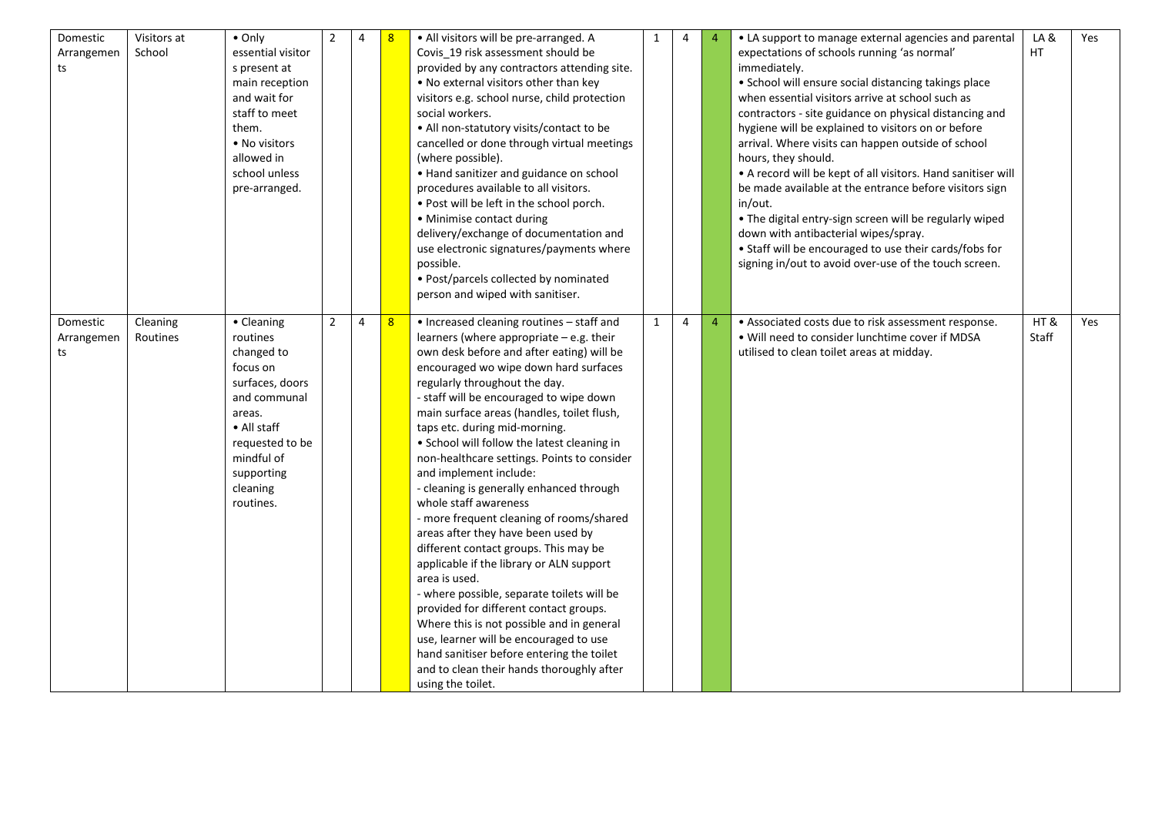| Domestic<br>Arrangemen<br>ts | Visitors at<br>School | $\bullet$ Only<br>essential visitor<br>s present at<br>main reception<br>and wait for<br>staff to meet<br>them.<br>• No visitors<br>allowed in<br>school unless<br>pre-arranged.     | $\overline{2}$ | 4 |                  | · All visitors will be pre-arranged. A<br>Covis_19 risk assessment should be<br>provided by any contractors attending site.<br>. No external visitors other than key<br>visitors e.g. school nurse, child protection<br>social workers.<br>• All non-statutory visits/contact to be<br>cancelled or done through virtual meetings<br>(where possible).<br>• Hand sanitizer and guidance on school<br>procedures available to all visitors.<br>. Post will be left in the school porch.<br>• Minimise contact during<br>delivery/exchange of documentation and<br>use electronic signatures/payments where<br>possible.<br>• Post/parcels collected by nominated<br>person and wiped with sanitiser.                                                                                                                                                                                                                                                                                                                       | 1            | 4 | $\overline{4}$ | • LA support to manage external agencies and parental<br>expectations of schools running 'as normal'<br>immediately.<br>• School will ensure social distancing takings place<br>when essential visitors arrive at school such as<br>contractors - site guidance on physical distancing and<br>hygiene will be explained to visitors on or before<br>arrival. Where visits can happen outside of school<br>hours, they should.<br>• A record will be kept of all visitors. Hand sanitiser will<br>be made available at the entrance before visitors sign<br>in/out.<br>• The digital entry-sign screen will be regularly wiped<br>down with antibacterial wipes/spray.<br>• Staff will be encouraged to use their cards/fobs for<br>signing in/out to avoid over-use of the touch screen. | LA&<br>HT.   | Yes |
|------------------------------|-----------------------|--------------------------------------------------------------------------------------------------------------------------------------------------------------------------------------|----------------|---|------------------|---------------------------------------------------------------------------------------------------------------------------------------------------------------------------------------------------------------------------------------------------------------------------------------------------------------------------------------------------------------------------------------------------------------------------------------------------------------------------------------------------------------------------------------------------------------------------------------------------------------------------------------------------------------------------------------------------------------------------------------------------------------------------------------------------------------------------------------------------------------------------------------------------------------------------------------------------------------------------------------------------------------------------|--------------|---|----------------|------------------------------------------------------------------------------------------------------------------------------------------------------------------------------------------------------------------------------------------------------------------------------------------------------------------------------------------------------------------------------------------------------------------------------------------------------------------------------------------------------------------------------------------------------------------------------------------------------------------------------------------------------------------------------------------------------------------------------------------------------------------------------------------|--------------|-----|
| Domestic<br>Arrangemen<br>ts | Cleaning<br>Routines  | • Cleaning<br>routines<br>changed to<br>focus on<br>surfaces, doors<br>and communal<br>areas.<br>• All staff<br>requested to be<br>mindful of<br>supporting<br>cleaning<br>routines. | $\overline{2}$ | 4 | $\boldsymbol{8}$ | • Increased cleaning routines - staff and<br>learners (where appropriate - e.g. their<br>own desk before and after eating) will be<br>encouraged wo wipe down hard surfaces<br>regularly throughout the day.<br>- staff will be encouraged to wipe down<br>main surface areas (handles, toilet flush,<br>taps etc. during mid-morning.<br>• School will follow the latest cleaning in<br>non-healthcare settings. Points to consider<br>and implement include:<br>- cleaning is generally enhanced through<br>whole staff awareness<br>- more frequent cleaning of rooms/shared<br>areas after they have been used by<br>different contact groups. This may be<br>applicable if the library or ALN support<br>area is used.<br>- where possible, separate toilets will be<br>provided for different contact groups.<br>Where this is not possible and in general<br>use, learner will be encouraged to use<br>hand sanitiser before entering the toilet<br>and to clean their hands thoroughly after<br>using the toilet. | $\mathbf{1}$ | 4 | $\overline{4}$ | • Associated costs due to risk assessment response.<br>. Will need to consider lunchtime cover if MDSA<br>utilised to clean toilet areas at midday.                                                                                                                                                                                                                                                                                                                                                                                                                                                                                                                                                                                                                                      | HT&<br>Staff | Yes |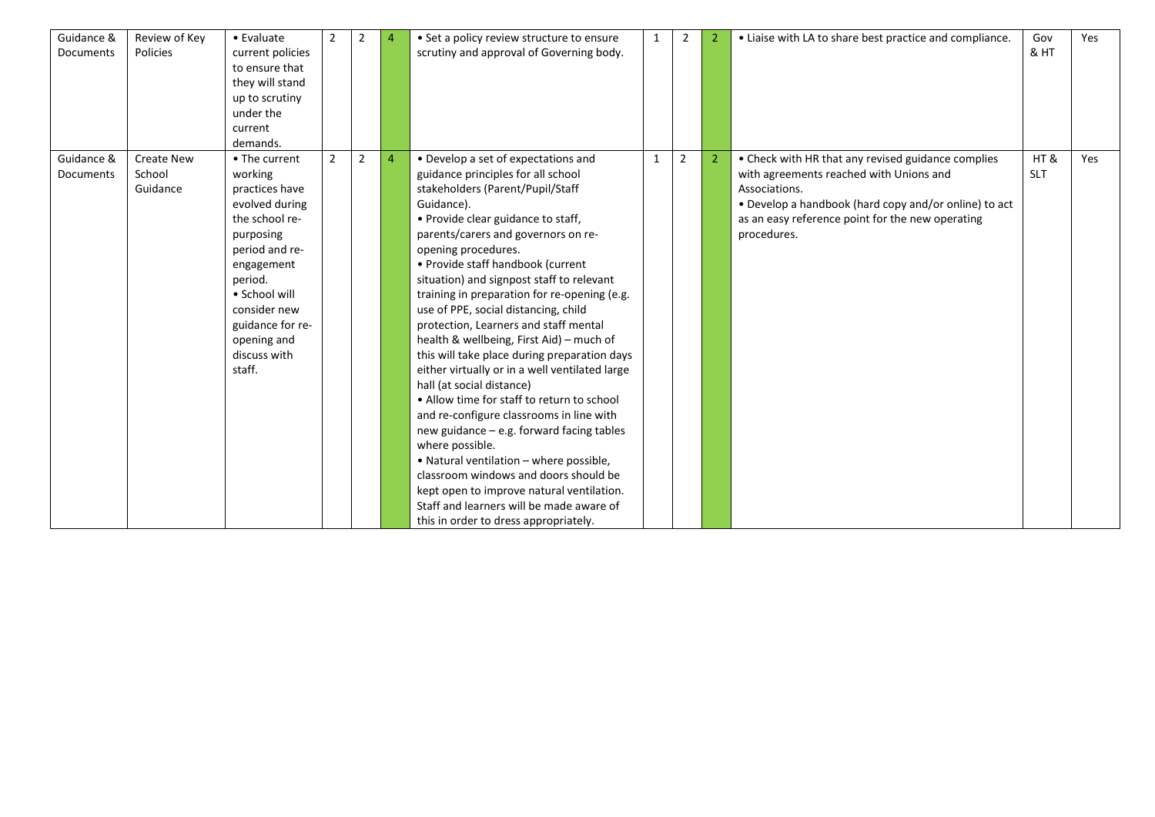| Guidance &<br>Documents | Review of Key<br>Policies               | • Evaluate<br>current policies<br>to ensure that<br>they will stand<br>up to scrutiny<br>under the<br>current<br>demands.                                                                                                            | $\overline{2}$ | 2 |                | • Set a policy review structure to ensure<br>scrutiny and approval of Governing body.                                                                                                                                                                                                                                                                                                                                                                                                                                                                                                                                                                                                                                                                                                                                                                                                                                                                                                                         | 1 | $\overline{2}$ | $\overline{2}$ | • Liaise with LA to share best practice and compliance.                                                                                                                                                                                    | Gov<br>& HT       | Yes |
|-------------------------|-----------------------------------------|--------------------------------------------------------------------------------------------------------------------------------------------------------------------------------------------------------------------------------------|----------------|---|----------------|---------------------------------------------------------------------------------------------------------------------------------------------------------------------------------------------------------------------------------------------------------------------------------------------------------------------------------------------------------------------------------------------------------------------------------------------------------------------------------------------------------------------------------------------------------------------------------------------------------------------------------------------------------------------------------------------------------------------------------------------------------------------------------------------------------------------------------------------------------------------------------------------------------------------------------------------------------------------------------------------------------------|---|----------------|----------------|--------------------------------------------------------------------------------------------------------------------------------------------------------------------------------------------------------------------------------------------|-------------------|-----|
| Guidance &<br>Documents | <b>Create New</b><br>School<br>Guidance | • The current<br>working<br>practices have<br>evolved during<br>the school re-<br>purposing<br>period and re-<br>engagement<br>period.<br>• School will<br>consider new<br>guidance for re-<br>opening and<br>discuss with<br>staff. | $\overline{2}$ | 2 | $\overline{4}$ | • Develop a set of expectations and<br>guidance principles for all school<br>stakeholders (Parent/Pupil/Staff<br>Guidance).<br>• Provide clear guidance to staff,<br>parents/carers and governors on re-<br>opening procedures.<br>• Provide staff handbook (current<br>situation) and signpost staff to relevant<br>training in preparation for re-opening (e.g.<br>use of PPE, social distancing, child<br>protection, Learners and staff mental<br>health & wellbeing, First Aid) - much of<br>this will take place during preparation days<br>either virtually or in a well ventilated large<br>hall (at social distance)<br>• Allow time for staff to return to school<br>and re-configure classrooms in line with<br>new guidance - e.g. forward facing tables<br>where possible.<br>• Natural ventilation - where possible,<br>classroom windows and doors should be<br>kept open to improve natural ventilation.<br>Staff and learners will be made aware of<br>this in order to dress appropriately. | 1 | $\overline{2}$ | $\overline{2}$ | • Check with HR that any revised guidance complies<br>with agreements reached with Unions and<br>Associations.<br>• Develop a handbook (hard copy and/or online) to act<br>as an easy reference point for the new operating<br>procedures. | HT&<br><b>SLT</b> | Yes |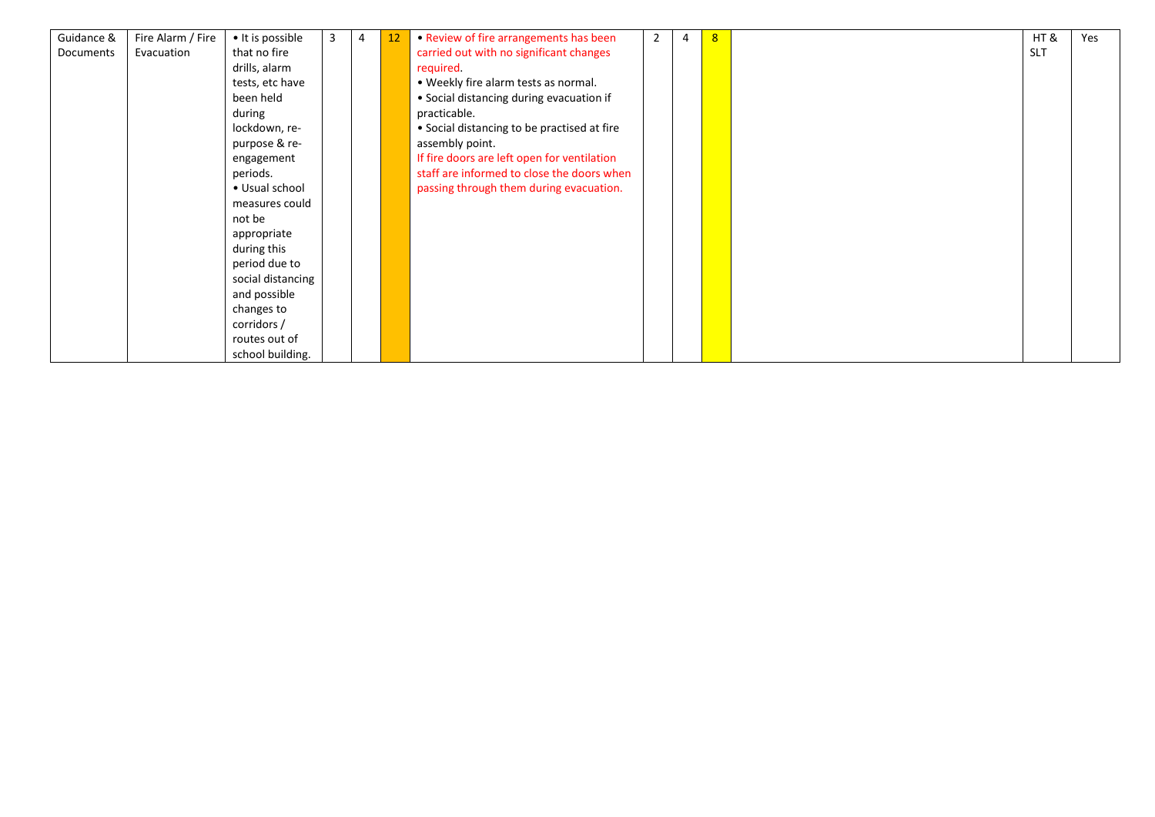| Guidance & | Fire Alarm / Fire | • It is possible  | 3 | 4 | 12 | • Review of fire arrangements has been      | $\overline{2}$ | 4 | 8 | HT &       | Yes |
|------------|-------------------|-------------------|---|---|----|---------------------------------------------|----------------|---|---|------------|-----|
| Documents  | Evacuation        | that no fire      |   |   |    | carried out with no significant changes     |                |   |   | <b>SLT</b> |     |
|            |                   | drills, alarm     |   |   |    | required.                                   |                |   |   |            |     |
|            |                   | tests, etc have   |   |   |    | • Weekly fire alarm tests as normal.        |                |   |   |            |     |
|            |                   | been held         |   |   |    | • Social distancing during evacuation if    |                |   |   |            |     |
|            |                   | during            |   |   |    | practicable.                                |                |   |   |            |     |
|            |                   | lockdown, re-     |   |   |    | • Social distancing to be practised at fire |                |   |   |            |     |
|            |                   | purpose & re-     |   |   |    | assembly point.                             |                |   |   |            |     |
|            |                   | engagement        |   |   |    | If fire doors are left open for ventilation |                |   |   |            |     |
|            |                   | periods.          |   |   |    | staff are informed to close the doors when  |                |   |   |            |     |
|            |                   | • Usual school    |   |   |    | passing through them during evacuation.     |                |   |   |            |     |
|            |                   | measures could    |   |   |    |                                             |                |   |   |            |     |
|            |                   | not be            |   |   |    |                                             |                |   |   |            |     |
|            |                   | appropriate       |   |   |    |                                             |                |   |   |            |     |
|            |                   | during this       |   |   |    |                                             |                |   |   |            |     |
|            |                   | period due to     |   |   |    |                                             |                |   |   |            |     |
|            |                   | social distancing |   |   |    |                                             |                |   |   |            |     |
|            |                   | and possible      |   |   |    |                                             |                |   |   |            |     |
|            |                   | changes to        |   |   |    |                                             |                |   |   |            |     |
|            |                   | corridors /       |   |   |    |                                             |                |   |   |            |     |
|            |                   | routes out of     |   |   |    |                                             |                |   |   |            |     |
|            |                   | school building.  |   |   |    |                                             |                |   |   |            |     |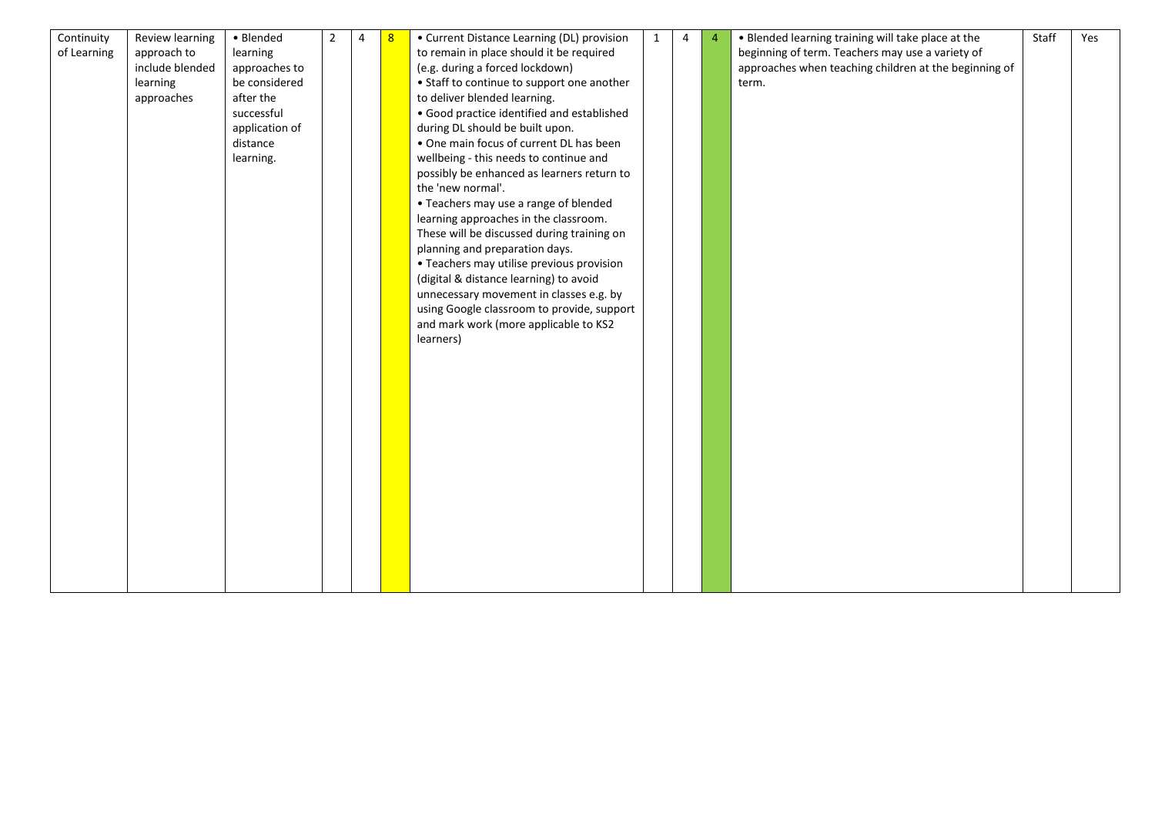| Continuity  | Review learning | • Blended      | $\overline{2}$ | $\overline{4}$ | 8 | • Current Distance Learning (DL) provision | $\mathbf{1}$ | 4 | $\overline{4}$ | . Blended learning training will take place at the    | Staff | Yes |
|-------------|-----------------|----------------|----------------|----------------|---|--------------------------------------------|--------------|---|----------------|-------------------------------------------------------|-------|-----|
| of Learning | approach to     | learning       |                |                |   | to remain in place should it be required   |              |   |                | beginning of term. Teachers may use a variety of      |       |     |
|             | include blended | approaches to  |                |                |   | (e.g. during a forced lockdown)            |              |   |                | approaches when teaching children at the beginning of |       |     |
|             | learning        | be considered  |                |                |   | • Staff to continue to support one another |              |   |                | term.                                                 |       |     |
|             | approaches      | after the      |                |                |   | to deliver blended learning.               |              |   |                |                                                       |       |     |
|             |                 | successful     |                |                |   | · Good practice identified and established |              |   |                |                                                       |       |     |
|             |                 | application of |                |                |   | during DL should be built upon.            |              |   |                |                                                       |       |     |
|             |                 | distance       |                |                |   | . One main focus of current DL has been    |              |   |                |                                                       |       |     |
|             |                 | learning.      |                |                |   | wellbeing - this needs to continue and     |              |   |                |                                                       |       |     |
|             |                 |                |                |                |   | possibly be enhanced as learners return to |              |   |                |                                                       |       |     |
|             |                 |                |                |                |   | the 'new normal'.                          |              |   |                |                                                       |       |     |
|             |                 |                |                |                |   | • Teachers may use a range of blended      |              |   |                |                                                       |       |     |
|             |                 |                |                |                |   | learning approaches in the classroom.      |              |   |                |                                                       |       |     |
|             |                 |                |                |                |   | These will be discussed during training on |              |   |                |                                                       |       |     |
|             |                 |                |                |                |   | planning and preparation days.             |              |   |                |                                                       |       |     |
|             |                 |                |                |                |   | • Teachers may utilise previous provision  |              |   |                |                                                       |       |     |
|             |                 |                |                |                |   | (digital & distance learning) to avoid     |              |   |                |                                                       |       |     |
|             |                 |                |                |                |   | unnecessary movement in classes e.g. by    |              |   |                |                                                       |       |     |
|             |                 |                |                |                |   | using Google classroom to provide, support |              |   |                |                                                       |       |     |
|             |                 |                |                |                |   | and mark work (more applicable to KS2      |              |   |                |                                                       |       |     |
|             |                 |                |                |                |   | learners)                                  |              |   |                |                                                       |       |     |
|             |                 |                |                |                |   |                                            |              |   |                |                                                       |       |     |
|             |                 |                |                |                |   |                                            |              |   |                |                                                       |       |     |
|             |                 |                |                |                |   |                                            |              |   |                |                                                       |       |     |
|             |                 |                |                |                |   |                                            |              |   |                |                                                       |       |     |
|             |                 |                |                |                |   |                                            |              |   |                |                                                       |       |     |
|             |                 |                |                |                |   |                                            |              |   |                |                                                       |       |     |
|             |                 |                |                |                |   |                                            |              |   |                |                                                       |       |     |
|             |                 |                |                |                |   |                                            |              |   |                |                                                       |       |     |
|             |                 |                |                |                |   |                                            |              |   |                |                                                       |       |     |
|             |                 |                |                |                |   |                                            |              |   |                |                                                       |       |     |
|             |                 |                |                |                |   |                                            |              |   |                |                                                       |       |     |
|             |                 |                |                |                |   |                                            |              |   |                |                                                       |       |     |
|             |                 |                |                |                |   |                                            |              |   |                |                                                       |       |     |
|             |                 |                |                |                |   |                                            |              |   |                |                                                       |       |     |
|             |                 |                |                |                |   |                                            |              |   |                |                                                       |       |     |
|             |                 |                |                |                |   |                                            |              |   |                |                                                       |       |     |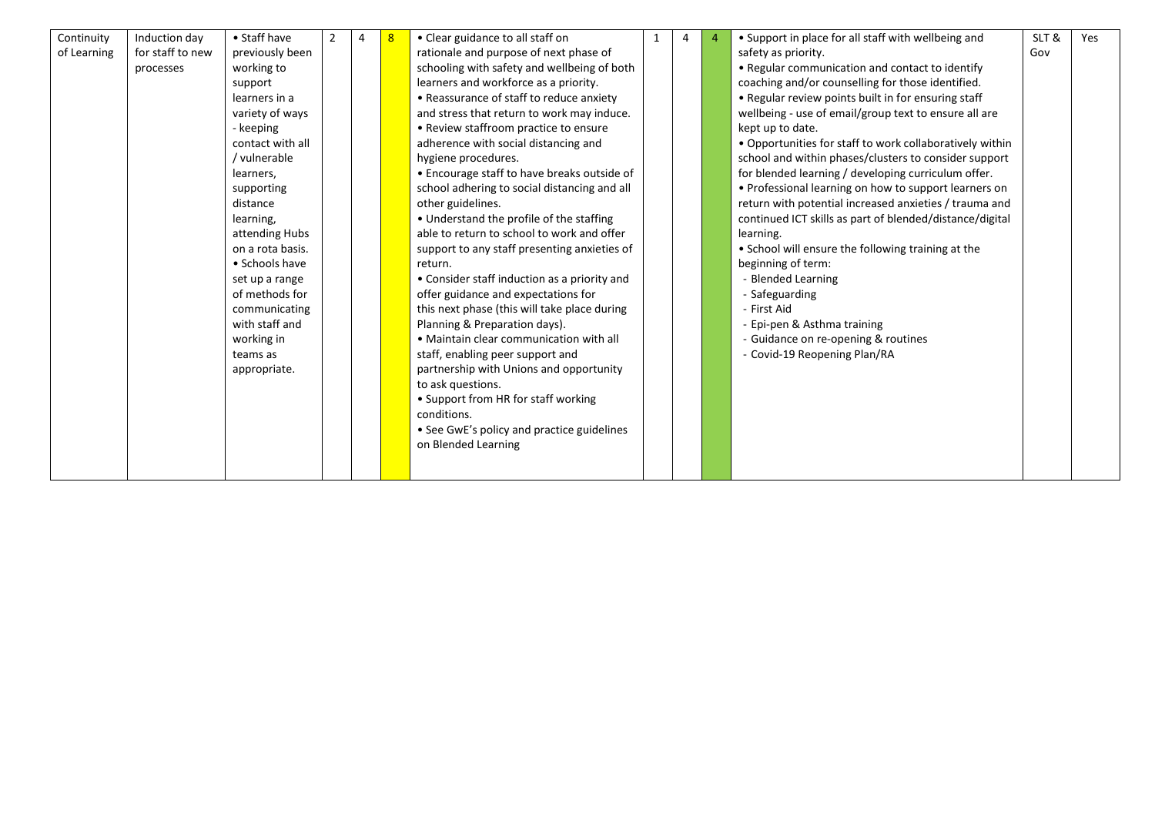| Continuity  | Induction day    | • Staff have     |  | $\mathbf{g}$ | • Clear guidance to all staff on             | 1 | 4 | • Support in place for all staff with wellbeing and      | SLT& | Yes |
|-------------|------------------|------------------|--|--------------|----------------------------------------------|---|---|----------------------------------------------------------|------|-----|
| of Learning | for staff to new | previously been  |  |              | rationale and purpose of next phase of       |   |   | safety as priority.                                      | Gov  |     |
|             | processes        | working to       |  |              | schooling with safety and wellbeing of both  |   |   | • Regular communication and contact to identify          |      |     |
|             |                  | support          |  |              | learners and workforce as a priority.        |   |   | coaching and/or counselling for those identified.        |      |     |
|             |                  | learners in a    |  |              | • Reassurance of staff to reduce anxiety     |   |   | • Regular review points built in for ensuring staff      |      |     |
|             |                  | variety of ways  |  |              | and stress that return to work may induce.   |   |   | wellbeing - use of email/group text to ensure all are    |      |     |
|             |                  | - keeping        |  |              | • Review staffroom practice to ensure        |   |   | kept up to date.                                         |      |     |
|             |                  | contact with all |  |              | adherence with social distancing and         |   |   | • Opportunities for staff to work collaboratively within |      |     |
|             |                  | / vulnerable     |  |              | hygiene procedures.                          |   |   | school and within phases/clusters to consider support    |      |     |
|             |                  | learners,        |  |              | • Encourage staff to have breaks outside of  |   |   | for blended learning / developing curriculum offer.      |      |     |
|             |                  | supporting       |  |              | school adhering to social distancing and all |   |   | • Professional learning on how to support learners on    |      |     |
|             |                  | distance         |  |              | other guidelines.                            |   |   | return with potential increased anxieties / trauma and   |      |     |
|             |                  | learning,        |  |              | • Understand the profile of the staffing     |   |   | continued ICT skills as part of blended/distance/digital |      |     |
|             |                  | attending Hubs   |  |              | able to return to school to work and offer   |   |   | learning.                                                |      |     |
|             |                  | on a rota basis. |  |              | support to any staff presenting anxieties of |   |   | • School will ensure the following training at the       |      |     |
|             |                  | • Schools have   |  |              | return.                                      |   |   | beginning of term:                                       |      |     |
|             |                  | set up a range   |  |              | • Consider staff induction as a priority and |   |   | - Blended Learning                                       |      |     |
|             |                  | of methods for   |  |              | offer guidance and expectations for          |   |   | - Safeguarding                                           |      |     |
|             |                  | communicating    |  |              | this next phase (this will take place during |   |   | - First Aid                                              |      |     |
|             |                  | with staff and   |  |              | Planning & Preparation days).                |   |   | - Epi-pen & Asthma training                              |      |     |
|             |                  | working in       |  |              | • Maintain clear communication with all      |   |   | - Guidance on re-opening & routines                      |      |     |
|             |                  | teams as         |  |              | staff, enabling peer support and             |   |   | - Covid-19 Reopening Plan/RA                             |      |     |
|             |                  | appropriate.     |  |              | partnership with Unions and opportunity      |   |   |                                                          |      |     |
|             |                  |                  |  |              | to ask questions.                            |   |   |                                                          |      |     |
|             |                  |                  |  |              | • Support from HR for staff working          |   |   |                                                          |      |     |
|             |                  |                  |  |              | conditions.                                  |   |   |                                                          |      |     |
|             |                  |                  |  |              | • See GwE's policy and practice guidelines   |   |   |                                                          |      |     |
|             |                  |                  |  |              | on Blended Learning                          |   |   |                                                          |      |     |
|             |                  |                  |  |              |                                              |   |   |                                                          |      |     |
|             |                  |                  |  |              |                                              |   |   |                                                          |      |     |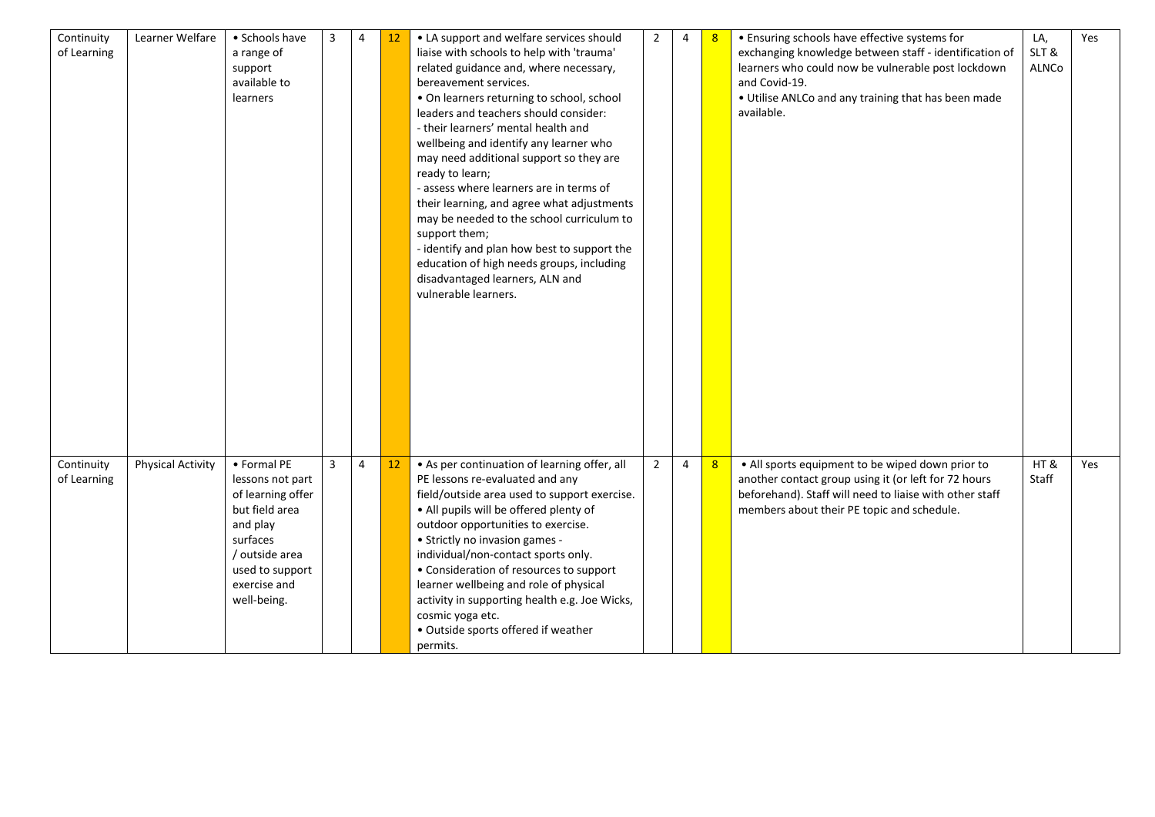| Continuity<br>of Learning | Learner Welfare          | • Schools have<br>a range of<br>support<br>available to<br>learners                                                                                                | 3 | 4              | $12 \overline{ }$ | • LA support and welfare services should<br>liaise with schools to help with 'trauma'<br>related guidance and, where necessary,<br>bereavement services.<br>• On learners returning to school, school<br>leaders and teachers should consider:<br>- their learners' mental health and<br>wellbeing and identify any learner who<br>may need additional support so they are<br>ready to learn;<br>- assess where learners are in terms of<br>their learning, and agree what adjustments<br>may be needed to the school curriculum to<br>support them;<br>- identify and plan how best to support the<br>education of high needs groups, including<br>disadvantaged learners, ALN and<br>vulnerable learners. | 2              | 4              | 8 | • Ensuring schools have effective systems for<br>exchanging knowledge between staff - identification of<br>learners who could now be vulnerable post lockdown<br>and Covid-19.<br>. Utilise ANLCo and any training that has been made<br>available. | LA,<br>SLT&<br><b>ALNCo</b> | Yes |
|---------------------------|--------------------------|--------------------------------------------------------------------------------------------------------------------------------------------------------------------|---|----------------|-------------------|-------------------------------------------------------------------------------------------------------------------------------------------------------------------------------------------------------------------------------------------------------------------------------------------------------------------------------------------------------------------------------------------------------------------------------------------------------------------------------------------------------------------------------------------------------------------------------------------------------------------------------------------------------------------------------------------------------------|----------------|----------------|---|-----------------------------------------------------------------------------------------------------------------------------------------------------------------------------------------------------------------------------------------------------|-----------------------------|-----|
| Continuity<br>of Learning | <b>Physical Activity</b> | • Formal PE<br>lessons not part<br>of learning offer<br>but field area<br>and play<br>surfaces<br>/ outside area<br>used to support<br>exercise and<br>well-being. | 3 | $\overline{4}$ | 12                | • As per continuation of learning offer, all<br>PE lessons re-evaluated and any<br>field/outside area used to support exercise.<br>• All pupils will be offered plenty of<br>outdoor opportunities to exercise.<br>• Strictly no invasion games -<br>individual/non-contact sports only.<br>• Consideration of resources to support<br>learner wellbeing and role of physical<br>activity in supporting health e.g. Joe Wicks,<br>cosmic yoga etc.<br>· Outside sports offered if weather<br>permits.                                                                                                                                                                                                       | $\overline{2}$ | $\overline{4}$ | 8 | • All sports equipment to be wiped down prior to<br>another contact group using it (or left for 72 hours<br>beforehand). Staff will need to liaise with other staff<br>members about their PE topic and schedule.                                   | HT&<br>Staff                | Yes |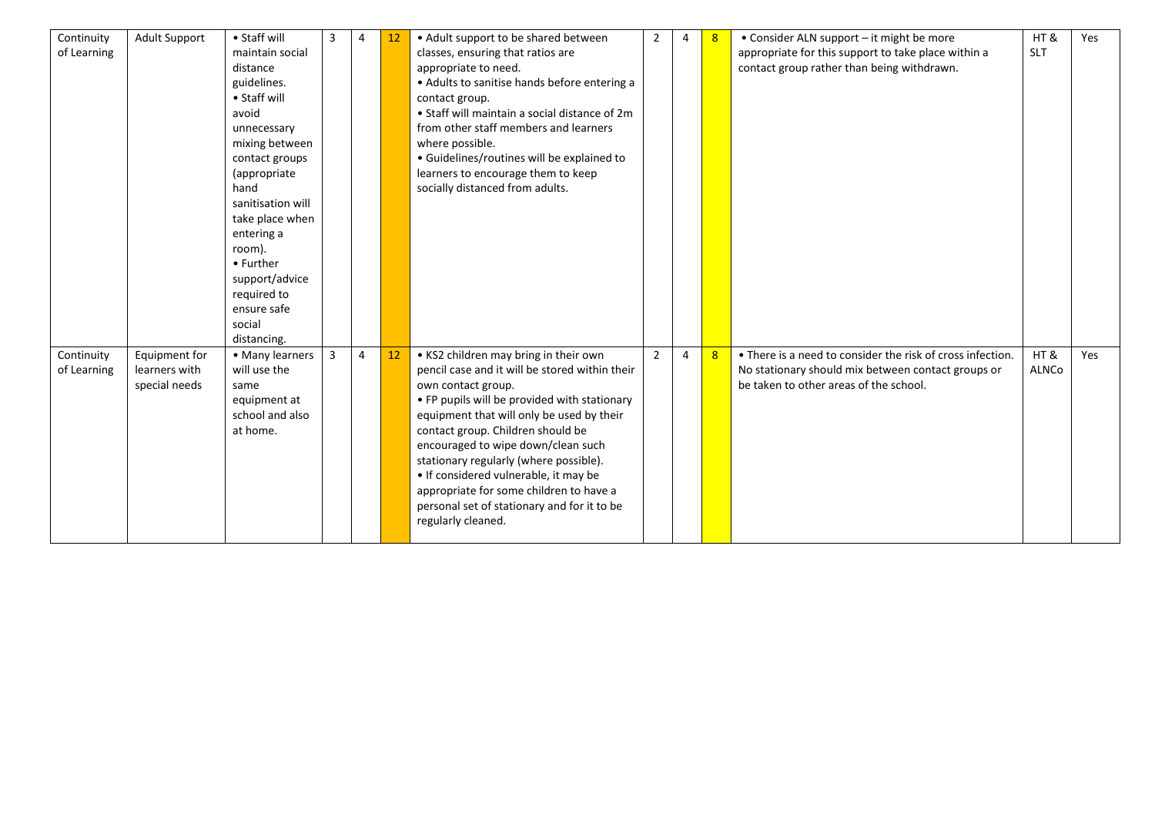| Continuity  | <b>Adult Support</b> | • Staff will      | 3              | 4 | 12 | • Adult support to be shared between           | 2              | 4 | 8 | • Consider ALN support – it might be more                  | HT&        | Yes |
|-------------|----------------------|-------------------|----------------|---|----|------------------------------------------------|----------------|---|---|------------------------------------------------------------|------------|-----|
| of Learning |                      | maintain social   |                |   |    | classes, ensuring that ratios are              |                |   |   | appropriate for this support to take place within a        | <b>SLT</b> |     |
|             |                      | distance          |                |   |    | appropriate to need.                           |                |   |   | contact group rather than being withdrawn.                 |            |     |
|             |                      | guidelines.       |                |   |    | • Adults to sanitise hands before entering a   |                |   |   |                                                            |            |     |
|             |                      | • Staff will      |                |   |    | contact group.                                 |                |   |   |                                                            |            |     |
|             |                      | avoid             |                |   |    | • Staff will maintain a social distance of 2m  |                |   |   |                                                            |            |     |
|             |                      | unnecessary       |                |   |    | from other staff members and learners          |                |   |   |                                                            |            |     |
|             |                      | mixing between    |                |   |    | where possible.                                |                |   |   |                                                            |            |     |
|             |                      | contact groups    |                |   |    | · Guidelines/routines will be explained to     |                |   |   |                                                            |            |     |
|             |                      | (appropriate      |                |   |    | learners to encourage them to keep             |                |   |   |                                                            |            |     |
|             |                      | hand              |                |   |    | socially distanced from adults.                |                |   |   |                                                            |            |     |
|             |                      | sanitisation will |                |   |    |                                                |                |   |   |                                                            |            |     |
|             |                      | take place when   |                |   |    |                                                |                |   |   |                                                            |            |     |
|             |                      | entering a        |                |   |    |                                                |                |   |   |                                                            |            |     |
|             |                      | room).            |                |   |    |                                                |                |   |   |                                                            |            |     |
|             |                      | • Further         |                |   |    |                                                |                |   |   |                                                            |            |     |
|             |                      | support/advice    |                |   |    |                                                |                |   |   |                                                            |            |     |
|             |                      | required to       |                |   |    |                                                |                |   |   |                                                            |            |     |
|             |                      | ensure safe       |                |   |    |                                                |                |   |   |                                                            |            |     |
|             |                      | social            |                |   |    |                                                |                |   |   |                                                            |            |     |
|             |                      | distancing.       |                |   |    |                                                |                |   |   |                                                            |            |     |
| Continuity  | Equipment for        | • Many learners   | $\overline{3}$ | 4 | 12 | • KS2 children may bring in their own          | $\overline{2}$ | 4 | 8 | • There is a need to consider the risk of cross infection. | HT&        | Yes |
| of Learning | learners with        | will use the      |                |   |    | pencil case and it will be stored within their |                |   |   | No stationary should mix between contact groups or         | ALNCo      |     |
|             | special needs        | same              |                |   |    | own contact group.                             |                |   |   | be taken to other areas of the school.                     |            |     |
|             |                      | equipment at      |                |   |    | • FP pupils will be provided with stationary   |                |   |   |                                                            |            |     |
|             |                      | school and also   |                |   |    | equipment that will only be used by their      |                |   |   |                                                            |            |     |
|             |                      | at home.          |                |   |    | contact group. Children should be              |                |   |   |                                                            |            |     |
|             |                      |                   |                |   |    | encouraged to wipe down/clean such             |                |   |   |                                                            |            |     |
|             |                      |                   |                |   |    | stationary regularly (where possible).         |                |   |   |                                                            |            |     |
|             |                      |                   |                |   |    | • If considered vulnerable, it may be          |                |   |   |                                                            |            |     |
|             |                      |                   |                |   |    | appropriate for some children to have a        |                |   |   |                                                            |            |     |
|             |                      |                   |                |   |    | personal set of stationary and for it to be    |                |   |   |                                                            |            |     |
|             |                      |                   |                |   |    | regularly cleaned.                             |                |   |   |                                                            |            |     |
|             |                      |                   |                |   |    |                                                |                |   |   |                                                            |            |     |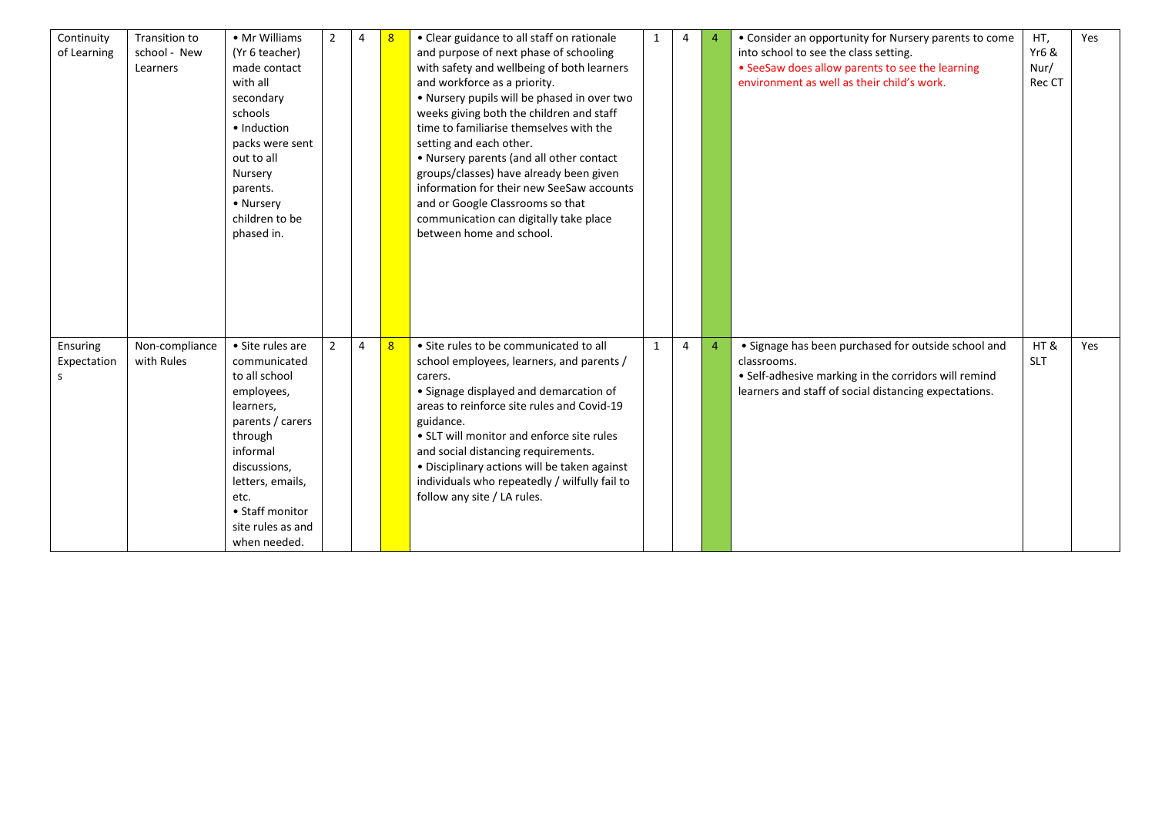| Continuity  | Transition to  | • Mr Williams     | $\overline{2}$ | $\overline{4}$ |   | • Clear guidance to all staff on rationale    | $\mathbf{1}$ | 4 | $\overline{4}$ | • Consider an opportunity for Nursery parents to come | HT,              | Yes |
|-------------|----------------|-------------------|----------------|----------------|---|-----------------------------------------------|--------------|---|----------------|-------------------------------------------------------|------------------|-----|
| of Learning | school - New   | (Yr 6 teacher)    |                |                |   | and purpose of next phase of schooling        |              |   |                | into school to see the class setting.                 | <b>Yr6 &amp;</b> |     |
|             | Learners       | made contact      |                |                |   | with safety and wellbeing of both learners    |              |   |                | • SeeSaw does allow parents to see the learning       | Nur/             |     |
|             |                | with all          |                |                |   | and workforce as a priority.                  |              |   |                | environment as well as their child's work.            | Rec CT           |     |
|             |                | secondary         |                |                |   | . Nursery pupils will be phased in over two   |              |   |                |                                                       |                  |     |
|             |                | schools           |                |                |   | weeks giving both the children and staff      |              |   |                |                                                       |                  |     |
|             |                | • Induction       |                |                |   | time to familiarise themselves with the       |              |   |                |                                                       |                  |     |
|             |                | packs were sent   |                |                |   | setting and each other.                       |              |   |                |                                                       |                  |     |
|             |                | out to all        |                |                |   | • Nursery parents (and all other contact      |              |   |                |                                                       |                  |     |
|             |                | Nursery           |                |                |   | groups/classes) have already been given       |              |   |                |                                                       |                  |     |
|             |                | parents.          |                |                |   | information for their new SeeSaw accounts     |              |   |                |                                                       |                  |     |
|             |                | • Nursery         |                |                |   | and or Google Classrooms so that              |              |   |                |                                                       |                  |     |
|             |                | children to be    |                |                |   | communication can digitally take place        |              |   |                |                                                       |                  |     |
|             |                | phased in.        |                |                |   | between home and school.                      |              |   |                |                                                       |                  |     |
|             |                |                   |                |                |   |                                               |              |   |                |                                                       |                  |     |
|             |                |                   |                |                |   |                                               |              |   |                |                                                       |                  |     |
|             |                |                   |                |                |   |                                               |              |   |                |                                                       |                  |     |
|             |                |                   |                |                |   |                                               |              |   |                |                                                       |                  |     |
|             |                |                   |                |                |   |                                               |              |   |                |                                                       |                  |     |
|             |                |                   |                |                |   |                                               |              |   |                |                                                       |                  |     |
| Ensuring    | Non-compliance | • Site rules are  | 2              | 4              | 8 | • Site rules to be communicated to all        | $\mathbf{1}$ | 4 | 4              | • Signage has been purchased for outside school and   | HT&              | Yes |
| Expectation | with Rules     | communicated      |                |                |   | school employees, learners, and parents /     |              |   |                | classrooms.                                           | <b>SLT</b>       |     |
| S           |                | to all school     |                |                |   | carers.                                       |              |   |                | • Self-adhesive marking in the corridors will remind  |                  |     |
|             |                | employees,        |                |                |   | • Signage displayed and demarcation of        |              |   |                | learners and staff of social distancing expectations. |                  |     |
|             |                | learners,         |                |                |   | areas to reinforce site rules and Covid-19    |              |   |                |                                                       |                  |     |
|             |                | parents / carers  |                |                |   | guidance.                                     |              |   |                |                                                       |                  |     |
|             |                | through           |                |                |   | • SLT will monitor and enforce site rules     |              |   |                |                                                       |                  |     |
|             |                | informal          |                |                |   | and social distancing requirements.           |              |   |                |                                                       |                  |     |
|             |                | discussions,      |                |                |   | • Disciplinary actions will be taken against  |              |   |                |                                                       |                  |     |
|             |                | letters, emails,  |                |                |   | individuals who repeatedly / wilfully fail to |              |   |                |                                                       |                  |     |
|             |                | etc.              |                |                |   | follow any site / LA rules.                   |              |   |                |                                                       |                  |     |
|             |                | • Staff monitor   |                |                |   |                                               |              |   |                |                                                       |                  |     |
|             |                | site rules as and |                |                |   |                                               |              |   |                |                                                       |                  |     |
|             |                | when needed.      |                |                |   |                                               |              |   |                |                                                       |                  |     |